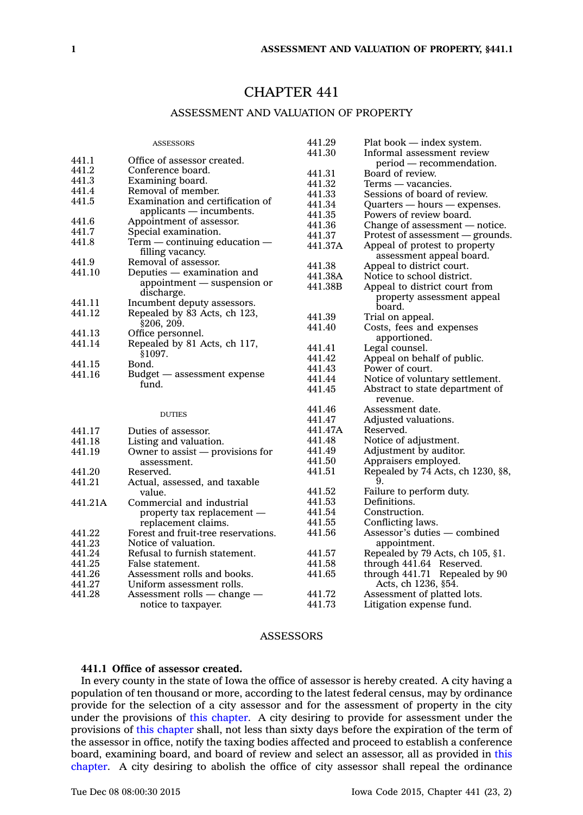# CHAPTER 441

## ASSESSMENT AND VALUATION OF PROPERTY

|         | <b>ASSESSORS</b>                    | 441.29           | Plat book - index system.                      |
|---------|-------------------------------------|------------------|------------------------------------------------|
|         |                                     | 441.30           | Informal assessment review                     |
| 441.1   | Office of assessor created.         |                  | period — recommendation.                       |
| 441.2   | Conference board.                   | 441.31           | Board of review.                               |
| 441.3   | Examining board.                    | 441.32           | Terms — vacancies.                             |
| 441.4   | Removal of member.                  | 441.33           | Sessions of board of review.                   |
| 441.5   | Examination and certification of    | 441.34           | $Quarters - hours - expenses.$                 |
|         | $applicants$ - incumbents.          | 441.35           | Powers of review board.                        |
| 441.6   | Appointment of assessor.            | 441.36           | Change of assessment $-$ notice.               |
| 441.7   | Special examination.                | 441.37           | Protest of assessment - grounds.               |
| 441.8   | $Term$ — continuing education —     | 441.37A          | Appeal of protest to property                  |
|         | filling vacancy.                    |                  | assessment appeal board.                       |
| 441.9   | Removal of assessor.                | 441.38           | Appeal to district court.                      |
| 441.10  | Deputies — examination and          | 441.38A          | Notice to school district.                     |
|         | appointment — suspension or         | 441.38B          | Appeal to district court from                  |
|         | discharge.                          |                  | property assessment appeal                     |
| 441.11  | Incumbent deputy assessors.         |                  | board.                                         |
| 441.12  | Repealed by 83 Acts, ch 123,        | 441.39           | Trial on appeal.                               |
|         | \$206, 209.                         | 441.40           | Costs, fees and expenses                       |
| 441.13  | Office personnel.                   |                  | apportioned.                                   |
| 441.14  | Repealed by 81 Acts, ch 117,        | 441.41           | Legal counsel.                                 |
|         | \$1097.                             | 441.42           |                                                |
| 441.15  | Bond.                               | 441.43           | Appeal on behalf of public.<br>Power of court. |
| 441.16  | Budget — assessment expense         |                  |                                                |
|         | fund.                               | 441.44<br>441.45 | Notice of voluntary settlement.                |
|         |                                     |                  | Abstract to state department of<br>revenue.    |
|         |                                     | 441.46           | Assessment date.                               |
|         | <b>DUTIES</b>                       | 441.47           | Adjusted valuations.                           |
| 441.17  | Duties of assessor.                 | 441.47A          | Reserved.                                      |
| 441.18  | Listing and valuation.              | 441.48           | Notice of adjustment.                          |
| 441.19  | Owner to assist $-$ provisions for  | 441.49           | Adjustment by auditor.                         |
|         | assessment.                         | 441.50           | Appraisers employed.                           |
| 441.20  | Reserved.                           | 441.51           | Repealed by 74 Acts, ch 1230, §8,              |
| 441.21  | Actual, assessed, and taxable       |                  | 9.                                             |
|         | value.                              | 441.52           | Failure to perform duty.                       |
| 441.21A | Commercial and industrial           | 441.53           | Definitions.                                   |
|         | property tax replacement —          | 441.54           | Construction.                                  |
|         | replacement claims.                 | 441.55           | Conflicting laws.                              |
| 441.22  | Forest and fruit-tree reservations. | 441.56           | Assessor's duties - combined                   |
| 441.23  | Notice of valuation.                |                  | appointment.                                   |
| 441.24  | Refusal to furnish statement.       | 441.57           | Repealed by 79 Acts, ch 105, §1.               |
| 441.25  | False statement.                    | 441.58           | through 441.64 Reserved.                       |
| 441.26  | Assessment rolls and books.         | 441.65           | through $441.71$ Repealed by 90                |
| 441.27  | Uniform assessment rolls.           |                  | Acts, ch 1236, §54.                            |
| 441.28  | Assessment rolls $-$ change $-$     | 441.72           | Assessment of platted lots.                    |
|         |                                     | 441.73           |                                                |
|         | notice to taxpayer.                 |                  | Litigation expense fund.                       |

#### **ASSESSORS**

## **441.1 Office of assessor created.**

In every county in the state of Iowa the office of assessor is hereby created. A city having <sup>a</sup> population of ten thousand or more, according to the latest federal census, may by ordinance provide for the selection of <sup>a</sup> city assessor and for the assessment of property in the city under the provisions of this [chapter](https://www.legis.iowa.gov/docs/code//441.pdf). A city desiring to provide for assessment under the provisions of this [chapter](https://www.legis.iowa.gov/docs/code//441.pdf) shall, not less than sixty days before the expiration of the term of the assessor in office, notify the taxing bodies affected and proceed to establish <sup>a</sup> conference board, examining board, and board of review and select an assessor, all as provided in [this](https://www.legis.iowa.gov/docs/code//441.pdf) [chapter](https://www.legis.iowa.gov/docs/code//441.pdf). A city desiring to abolish the office of city assessor shall repeal the ordinance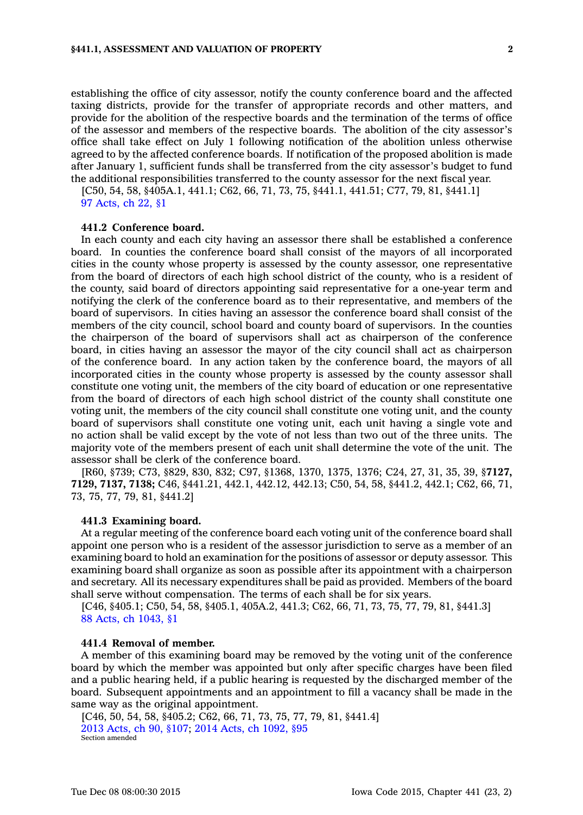establishing the office of city assessor, notify the county conference board and the affected taxing districts, provide for the transfer of appropriate records and other matters, and provide for the abolition of the respective boards and the termination of the terms of office of the assessor and members of the respective boards. The abolition of the city assessor's office shall take effect on July 1 following notification of the abolition unless otherwise agreed to by the affected conference boards. If notification of the proposed abolition is made after January 1, sufficient funds shall be transferred from the city assessor's budget to fund the additional responsibilities transferred to the county assessor for the next fiscal year.

[C50, 54, 58, §405A.1, 441.1; C62, 66, 71, 73, 75, §441.1, 441.51; C77, 79, 81, §441.1] 97 [Acts,](https://www.legis.iowa.gov/docs/acts/1997/CH0022.pdf) ch 22, §1

## **441.2 Conference board.**

In each county and each city having an assessor there shall be established <sup>a</sup> conference board. In counties the conference board shall consist of the mayors of all incorporated cities in the county whose property is assessed by the county assessor, one representative from the board of directors of each high school district of the county, who is <sup>a</sup> resident of the county, said board of directors appointing said representative for <sup>a</sup> one-year term and notifying the clerk of the conference board as to their representative, and members of the board of supervisors. In cities having an assessor the conference board shall consist of the members of the city council, school board and county board of supervisors. In the counties the chairperson of the board of supervisors shall act as chairperson of the conference board, in cities having an assessor the mayor of the city council shall act as chairperson of the conference board. In any action taken by the conference board, the mayors of all incorporated cities in the county whose property is assessed by the county assessor shall constitute one voting unit, the members of the city board of education or one representative from the board of directors of each high school district of the county shall constitute one voting unit, the members of the city council shall constitute one voting unit, and the county board of supervisors shall constitute one voting unit, each unit having <sup>a</sup> single vote and no action shall be valid except by the vote of not less than two out of the three units. The majority vote of the members present of each unit shall determine the vote of the unit. The assessor shall be clerk of the conference board.

[R60, §739; C73, §829, 830, 832; C97, §1368, 1370, 1375, 1376; C24, 27, 31, 35, 39, §**7127, 7129, 7137, 7138;** C46, §441.21, 442.1, 442.12, 442.13; C50, 54, 58, §441.2, 442.1; C62, 66, 71, 73, 75, 77, 79, 81, §441.2]

#### **441.3 Examining board.**

At <sup>a</sup> regular meeting of the conference board each voting unit of the conference board shall appoint one person who is <sup>a</sup> resident of the assessor jurisdiction to serve as <sup>a</sup> member of an examining board to hold an examination for the positions of assessor or deputy assessor. This examining board shall organize as soon as possible after its appointment with <sup>a</sup> chairperson and secretary. All its necessary expenditures shall be paid as provided. Members of the board shall serve without compensation. The terms of each shall be for six years.

[C46, §405.1; C50, 54, 58, §405.1, 405A.2, 441.3; C62, 66, 71, 73, 75, 77, 79, 81, §441.3] 88 Acts, ch [1043,](https://www.legis.iowa.gov/docs/acts/1988/CH1043.pdf) §1

## **441.4 Removal of member.**

A member of this examining board may be removed by the voting unit of the conference board by which the member was appointed but only after specific charges have been filed and <sup>a</sup> public hearing held, if <sup>a</sup> public hearing is requested by the discharged member of the board. Subsequent appointments and an appointment to fill <sup>a</sup> vacancy shall be made in the same way as the original appointment.

[C46, 50, 54, 58, §405.2; C62, 66, 71, 73, 75, 77, 79, 81, §441.4] 2013 [Acts,](https://www.legis.iowa.gov/docs/acts/2013/CH0090.pdf) ch 90, §107; 2014 Acts, ch [1092,](https://www.legis.iowa.gov/docs/acts/2014/CH1092.pdf) §95 Section amended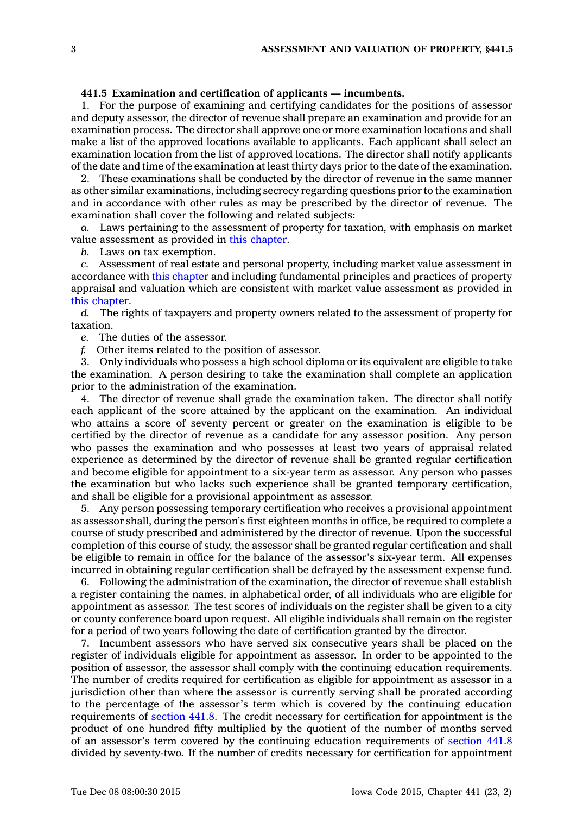## **441.5 Examination and certification of applicants — incumbents.**

1. For the purpose of examining and certifying candidates for the positions of assessor and deputy assessor, the director of revenue shall prepare an examination and provide for an examination process. The director shall approve one or more examination locations and shall make <sup>a</sup> list of the approved locations available to applicants. Each applicant shall select an examination location from the list of approved locations. The director shall notify applicants of the date and time of the examination at least thirty days prior to the date of the examination.

2. These examinations shall be conducted by the director of revenue in the same manner as other similar examinations, including secrecy regarding questions prior to the examination and in accordance with other rules as may be prescribed by the director of revenue. The examination shall cover the following and related subjects:

*a.* Laws pertaining to the assessment of property for taxation, with emphasis on market value assessment as provided in this [chapter](https://www.legis.iowa.gov/docs/code//441.pdf).

*b.* Laws on tax exemption.

*c.* Assessment of real estate and personal property, including market value assessment in accordance with this [chapter](https://www.legis.iowa.gov/docs/code//441.pdf) and including fundamental principles and practices of property appraisal and valuation which are consistent with market value assessment as provided in this [chapter](https://www.legis.iowa.gov/docs/code//441.pdf).

*d.* The rights of taxpayers and property owners related to the assessment of property for taxation.

*e.* The duties of the assessor.

*f.* Other items related to the position of assessor.

3. Only individuals who possess <sup>a</sup> high school diploma or its equivalent are eligible to take the examination. A person desiring to take the examination shall complete an application prior to the administration of the examination.

4. The director of revenue shall grade the examination taken. The director shall notify each applicant of the score attained by the applicant on the examination. An individual who attains <sup>a</sup> score of seventy percent or greater on the examination is eligible to be certified by the director of revenue as <sup>a</sup> candidate for any assessor position. Any person who passes the examination and who possesses at least two years of appraisal related experience as determined by the director of revenue shall be granted regular certification and become eligible for appointment to <sup>a</sup> six-year term as assessor. Any person who passes the examination but who lacks such experience shall be granted temporary certification, and shall be eligible for <sup>a</sup> provisional appointment as assessor.

5. Any person possessing temporary certification who receives <sup>a</sup> provisional appointment as assessor shall, during the person's first eighteen months in office, be required to complete <sup>a</sup> course of study prescribed and administered by the director of revenue. Upon the successful completion of this course of study, the assessor shall be granted regular certification and shall be eligible to remain in office for the balance of the assessor's six-year term. All expenses incurred in obtaining regular certification shall be defrayed by the assessment expense fund.

6. Following the administration of the examination, the director of revenue shall establish <sup>a</sup> register containing the names, in alphabetical order, of all individuals who are eligible for appointment as assessor. The test scores of individuals on the register shall be given to <sup>a</sup> city or county conference board upon request. All eligible individuals shall remain on the register for <sup>a</sup> period of two years following the date of certification granted by the director.

7. Incumbent assessors who have served six consecutive years shall be placed on the register of individuals eligible for appointment as assessor. In order to be appointed to the position of assessor, the assessor shall comply with the continuing education requirements. The number of credits required for certification as eligible for appointment as assessor in <sup>a</sup> jurisdiction other than where the assessor is currently serving shall be prorated according to the percentage of the assessor's term which is covered by the continuing education requirements of [section](https://www.legis.iowa.gov/docs/code//441.8.pdf) 441.8. The credit necessary for certification for appointment is the product of one hundred fifty multiplied by the quotient of the number of months served of an assessor's term covered by the continuing education requirements of [section](https://www.legis.iowa.gov/docs/code//441.8.pdf) 441.8 divided by seventy-two. If the number of credits necessary for certification for appointment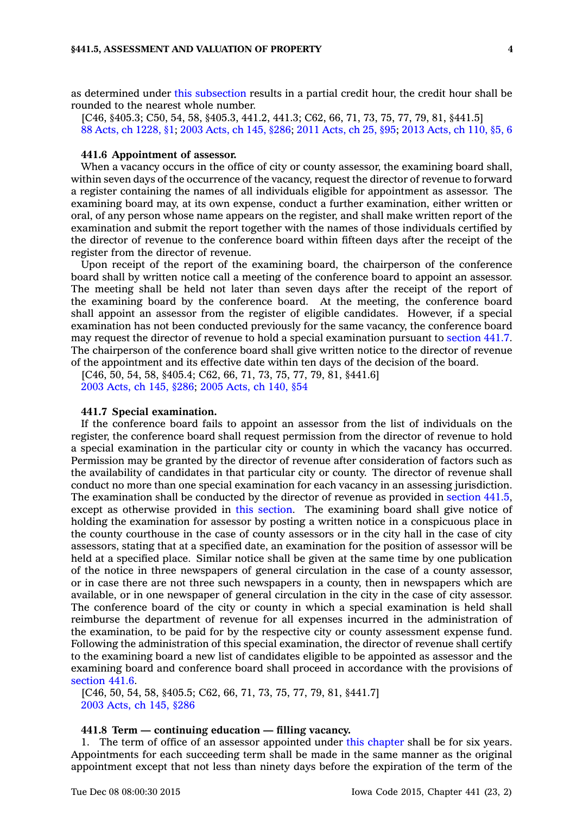as determined under this [subsection](https://www.legis.iowa.gov/docs/code//441.5.pdf) results in <sup>a</sup> partial credit hour, the credit hour shall be rounded to the nearest whole number.

[C46, §405.3; C50, 54, 58, §405.3, 441.2, 441.3; C62, 66, 71, 73, 75, 77, 79, 81, §441.5] 88 Acts, ch [1228,](https://www.legis.iowa.gov/docs/acts/88/CH1228.pdf) §1; 2003 [Acts,](https://www.legis.iowa.gov/docs/acts/2003/CH0145.pdf) ch 145, §286; 2011 [Acts,](https://www.legis.iowa.gov/docs/acts/2011/CH0025.pdf) ch 25, §95; 2013 [Acts,](https://www.legis.iowa.gov/docs/acts/2013/CH0110.pdf) ch 110, §5, 6

## **441.6 Appointment of assessor.**

When <sup>a</sup> vacancy occurs in the office of city or county assessor, the examining board shall, within seven days of the occurrence of the vacancy, request the director of revenue to forward <sup>a</sup> register containing the names of all individuals eligible for appointment as assessor. The examining board may, at its own expense, conduct <sup>a</sup> further examination, either written or oral, of any person whose name appears on the register, and shall make written report of the examination and submit the report together with the names of those individuals certified by the director of revenue to the conference board within fifteen days after the receipt of the register from the director of revenue.

Upon receipt of the report of the examining board, the chairperson of the conference board shall by written notice call <sup>a</sup> meeting of the conference board to appoint an assessor. The meeting shall be held not later than seven days after the receipt of the report of the examining board by the conference board. At the meeting, the conference board shall appoint an assessor from the register of eligible candidates. However, if <sup>a</sup> special examination has not been conducted previously for the same vacancy, the conference board may request the director of revenue to hold <sup>a</sup> special examination pursuant to [section](https://www.legis.iowa.gov/docs/code//441.7.pdf) 441.7. The chairperson of the conference board shall give written notice to the director of revenue of the appointment and its effective date within ten days of the decision of the board.

[C46, 50, 54, 58, §405.4; C62, 66, 71, 73, 75, 77, 79, 81, §441.6] 2003 [Acts,](https://www.legis.iowa.gov/docs/acts/2003/CH0145.pdf) ch 145, §286; 2005 [Acts,](https://www.legis.iowa.gov/docs/acts/2005/CH0140.pdf) ch 140, §54

#### **441.7 Special examination.**

If the conference board fails to appoint an assessor from the list of individuals on the register, the conference board shall request permission from the director of revenue to hold <sup>a</sup> special examination in the particular city or county in which the vacancy has occurred. Permission may be granted by the director of revenue after consideration of factors such as the availability of candidates in that particular city or county. The director of revenue shall conduct no more than one special examination for each vacancy in an assessing jurisdiction. The examination shall be conducted by the director of revenue as provided in [section](https://www.legis.iowa.gov/docs/code//441.5.pdf) 441.5, except as otherwise provided in this [section](https://www.legis.iowa.gov/docs/code//441.7.pdf). The examining board shall give notice of holding the examination for assessor by posting <sup>a</sup> written notice in <sup>a</sup> conspicuous place in the county courthouse in the case of county assessors or in the city hall in the case of city assessors, stating that at <sup>a</sup> specified date, an examination for the position of assessor will be held at <sup>a</sup> specified place. Similar notice shall be given at the same time by one publication of the notice in three newspapers of general circulation in the case of <sup>a</sup> county assessor, or in case there are not three such newspapers in <sup>a</sup> county, then in newspapers which are available, or in one newspaper of general circulation in the city in the case of city assessor. The conference board of the city or county in which <sup>a</sup> special examination is held shall reimburse the department of revenue for all expenses incurred in the administration of the examination, to be paid for by the respective city or county assessment expense fund. Following the administration of this special examination, the director of revenue shall certify to the examining board <sup>a</sup> new list of candidates eligible to be appointed as assessor and the examining board and conference board shall proceed in accordance with the provisions of [section](https://www.legis.iowa.gov/docs/code//441.6.pdf) 441.6.

[C46, 50, 54, 58, §405.5; C62, 66, 71, 73, 75, 77, 79, 81, §441.7] 2003 [Acts,](https://www.legis.iowa.gov/docs/acts/2003/CH0145.pdf) ch 145, §286

## **441.8 Term — continuing education — filling vacancy.**

1. The term of office of an assessor appointed under this [chapter](https://www.legis.iowa.gov/docs/code//441.pdf) shall be for six years. Appointments for each succeeding term shall be made in the same manner as the original appointment except that not less than ninety days before the expiration of the term of the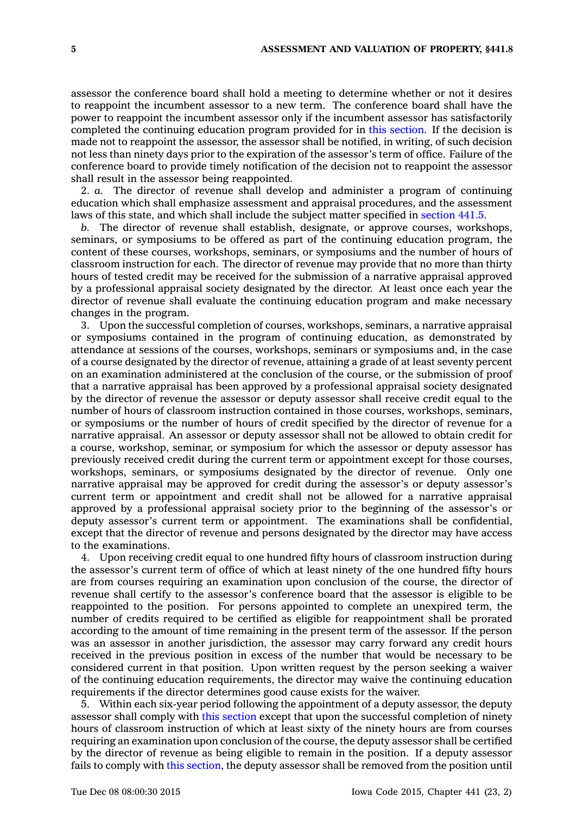assessor the conference board shall hold <sup>a</sup> meeting to determine whether or not it desires to reappoint the incumbent assessor to <sup>a</sup> new term. The conference board shall have the power to reappoint the incumbent assessor only if the incumbent assessor has satisfactorily completed the continuing education program provided for in this [section](https://www.legis.iowa.gov/docs/code//441.8.pdf). If the decision is made not to reappoint the assessor, the assessor shall be notified, in writing, of such decision not less than ninety days prior to the expiration of the assessor's term of office. Failure of the conference board to provide timely notification of the decision not to reappoint the assessor shall result in the assessor being reappointed.

2. *a.* The director of revenue shall develop and administer <sup>a</sup> program of continuing education which shall emphasize assessment and appraisal procedures, and the assessment laws of this state, and which shall include the subject matter specified in [section](https://www.legis.iowa.gov/docs/code//441.5.pdf) 441.5.

*b.* The director of revenue shall establish, designate, or approve courses, workshops, seminars, or symposiums to be offered as part of the continuing education program, the content of these courses, workshops, seminars, or symposiums and the number of hours of classroom instruction for each. The director of revenue may provide that no more than thirty hours of tested credit may be received for the submission of <sup>a</sup> narrative appraisal approved by <sup>a</sup> professional appraisal society designated by the director. At least once each year the director of revenue shall evaluate the continuing education program and make necessary changes in the program.

3. Upon the successful completion of courses, workshops, seminars, <sup>a</sup> narrative appraisal or symposiums contained in the program of continuing education, as demonstrated by attendance at sessions of the courses, workshops, seminars or symposiums and, in the case of <sup>a</sup> course designated by the director of revenue, attaining <sup>a</sup> grade of at least seventy percent on an examination administered at the conclusion of the course, or the submission of proof that <sup>a</sup> narrative appraisal has been approved by <sup>a</sup> professional appraisal society designated by the director of revenue the assessor or deputy assessor shall receive credit equal to the number of hours of classroom instruction contained in those courses, workshops, seminars, or symposiums or the number of hours of credit specified by the director of revenue for <sup>a</sup> narrative appraisal. An assessor or deputy assessor shall not be allowed to obtain credit for <sup>a</sup> course, workshop, seminar, or symposium for which the assessor or deputy assessor has previously received credit during the current term or appointment except for those courses, workshops, seminars, or symposiums designated by the director of revenue. Only one narrative appraisal may be approved for credit during the assessor's or deputy assessor's current term or appointment and credit shall not be allowed for <sup>a</sup> narrative appraisal approved by <sup>a</sup> professional appraisal society prior to the beginning of the assessor's or deputy assessor's current term or appointment. The examinations shall be confidential, except that the director of revenue and persons designated by the director may have access to the examinations.

4. Upon receiving credit equal to one hundred fifty hours of classroom instruction during the assessor's current term of office of which at least ninety of the one hundred fifty hours are from courses requiring an examination upon conclusion of the course, the director of revenue shall certify to the assessor's conference board that the assessor is eligible to be reappointed to the position. For persons appointed to complete an unexpired term, the number of credits required to be certified as eligible for reappointment shall be prorated according to the amount of time remaining in the present term of the assessor. If the person was an assessor in another jurisdiction, the assessor may carry forward any credit hours received in the previous position in excess of the number that would be necessary to be considered current in that position. Upon written request by the person seeking <sup>a</sup> waiver of the continuing education requirements, the director may waive the continuing education requirements if the director determines good cause exists for the waiver.

5. Within each six-year period following the appointment of <sup>a</sup> deputy assessor, the deputy assessor shall comply with this [section](https://www.legis.iowa.gov/docs/code//441.8.pdf) except that upon the successful completion of ninety hours of classroom instruction of which at least sixty of the ninety hours are from courses requiring an examination upon conclusion of the course, the deputy assessor shall be certified by the director of revenue as being eligible to remain in the position. If <sup>a</sup> deputy assessor fails to comply with this [section](https://www.legis.iowa.gov/docs/code//441.8.pdf), the deputy assessor shall be removed from the position until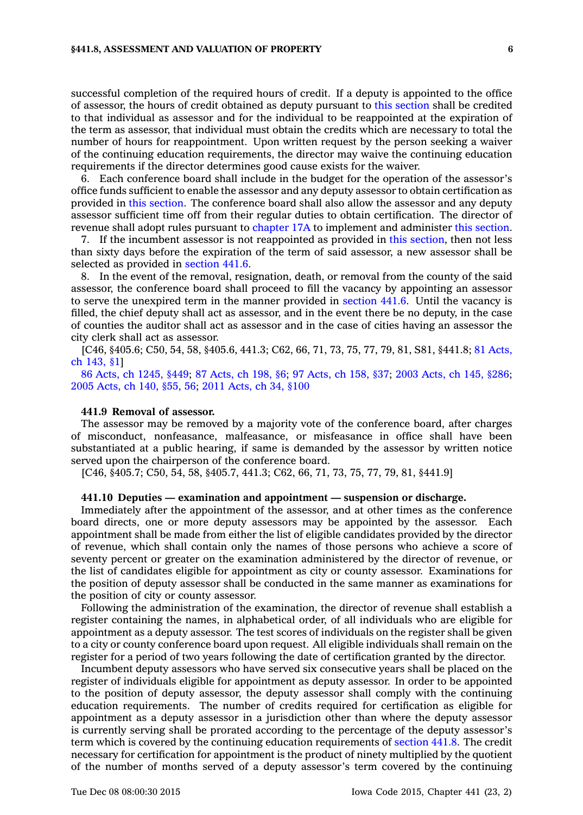#### **§441.8, ASSESSMENT AND VALUATION OF PROPERTY 6**

successful completion of the required hours of credit. If <sup>a</sup> deputy is appointed to the office of assessor, the hours of credit obtained as deputy pursuant to this [section](https://www.legis.iowa.gov/docs/code//441.8.pdf) shall be credited to that individual as assessor and for the individual to be reappointed at the expiration of the term as assessor, that individual must obtain the credits which are necessary to total the number of hours for reappointment. Upon written request by the person seeking <sup>a</sup> waiver of the continuing education requirements, the director may waive the continuing education requirements if the director determines good cause exists for the waiver.

6. Each conference board shall include in the budget for the operation of the assessor's office funds sufficient to enable the assessor and any deputy assessor to obtain certification as provided in this [section](https://www.legis.iowa.gov/docs/code//441.8.pdf). The conference board shall also allow the assessor and any deputy assessor sufficient time off from their regular duties to obtain certification. The director of revenue shall adopt rules pursuant to [chapter](https://www.legis.iowa.gov/docs/code//17A.pdf) 17A to implement and administer this [section](https://www.legis.iowa.gov/docs/code//441.8.pdf).

7. If the incumbent assessor is not reappointed as provided in this [section](https://www.legis.iowa.gov/docs/code//441.8.pdf), then not less than sixty days before the expiration of the term of said assessor, <sup>a</sup> new assessor shall be selected as provided in [section](https://www.legis.iowa.gov/docs/code//441.6.pdf) 441.6.

8. In the event of the removal, resignation, death, or removal from the county of the said assessor, the conference board shall proceed to fill the vacancy by appointing an assessor to serve the unexpired term in the manner provided in [section](https://www.legis.iowa.gov/docs/code//441.6.pdf) 441.6. Until the vacancy is filled, the chief deputy shall act as assessor, and in the event there be no deputy, in the case of counties the auditor shall act as assessor and in the case of cities having an assessor the city clerk shall act as assessor.

[C46, §405.6; C50, 54, 58, §405.6, 441.3; C62, 66, 71, 73, 75, 77, 79, 81, S81, §441.8; 81 [Acts,](https://www.legis.iowa.gov/docs/acts/1981/CH0143.pdf) ch [143,](https://www.legis.iowa.gov/docs/acts/1981/CH0143.pdf) §1]

86 Acts, ch [1245,](https://www.legis.iowa.gov/docs/acts/86/CH1245.pdf) §449; 87 [Acts,](https://www.legis.iowa.gov/docs/acts/87/CH0198.pdf) ch 198, §6; 97 [Acts,](https://www.legis.iowa.gov/docs/acts/97/CH0158.pdf) ch 158, §37; 2003 [Acts,](https://www.legis.iowa.gov/docs/acts/2003/CH0145.pdf) ch 145, §286; 2005 [Acts,](https://www.legis.iowa.gov/docs/acts/2005/CH0140.pdf) ch 140, §55, 56; 2011 [Acts,](https://www.legis.iowa.gov/docs/acts/2011/CH0034.pdf) ch 34, §100

#### **441.9 Removal of assessor.**

The assessor may be removed by <sup>a</sup> majority vote of the conference board, after charges of misconduct, nonfeasance, malfeasance, or misfeasance in office shall have been substantiated at <sup>a</sup> public hearing, if same is demanded by the assessor by written notice served upon the chairperson of the conference board.

[C46, §405.7; C50, 54, 58, §405.7, 441.3; C62, 66, 71, 73, 75, 77, 79, 81, §441.9]

#### **441.10 Deputies — examination and appointment —suspension or discharge.**

Immediately after the appointment of the assessor, and at other times as the conference board directs, one or more deputy assessors may be appointed by the assessor. Each appointment shall be made from either the list of eligible candidates provided by the director of revenue, which shall contain only the names of those persons who achieve <sup>a</sup> score of seventy percent or greater on the examination administered by the director of revenue, or the list of candidates eligible for appointment as city or county assessor. Examinations for the position of deputy assessor shall be conducted in the same manner as examinations for the position of city or county assessor.

Following the administration of the examination, the director of revenue shall establish <sup>a</sup> register containing the names, in alphabetical order, of all individuals who are eligible for appointment as <sup>a</sup> deputy assessor. The test scores of individuals on the register shall be given to <sup>a</sup> city or county conference board upon request. All eligible individuals shall remain on the register for <sup>a</sup> period of two years following the date of certification granted by the director.

Incumbent deputy assessors who have served six consecutive years shall be placed on the register of individuals eligible for appointment as deputy assessor. In order to be appointed to the position of deputy assessor, the deputy assessor shall comply with the continuing education requirements. The number of credits required for certification as eligible for appointment as <sup>a</sup> deputy assessor in <sup>a</sup> jurisdiction other than where the deputy assessor is currently serving shall be prorated according to the percentage of the deputy assessor's term which is covered by the continuing education requirements of [section](https://www.legis.iowa.gov/docs/code//441.8.pdf) 441.8. The credit necessary for certification for appointment is the product of ninety multiplied by the quotient of the number of months served of <sup>a</sup> deputy assessor's term covered by the continuing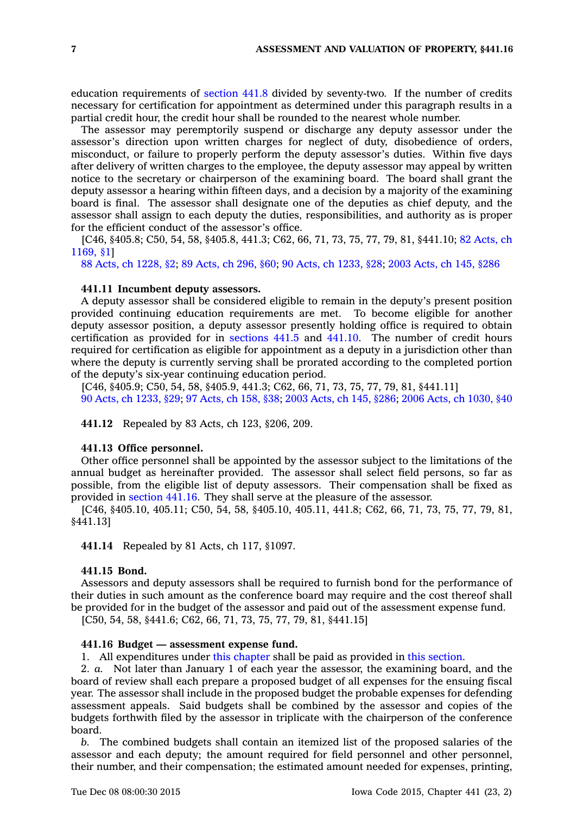education requirements of [section](https://www.legis.iowa.gov/docs/code//441.8.pdf) 441.8 divided by seventy-two. If the number of credits necessary for certification for appointment as determined under this paragraph results in <sup>a</sup> partial credit hour, the credit hour shall be rounded to the nearest whole number.

The assessor may peremptorily suspend or discharge any deputy assessor under the assessor's direction upon written charges for neglect of duty, disobedience of orders, misconduct, or failure to properly perform the deputy assessor's duties. Within five days after delivery of written charges to the employee, the deputy assessor may appeal by written notice to the secretary or chairperson of the examining board. The board shall grant the deputy assessor <sup>a</sup> hearing within fifteen days, and <sup>a</sup> decision by <sup>a</sup> majority of the examining board is final. The assessor shall designate one of the deputies as chief deputy, and the assessor shall assign to each deputy the duties, responsibilities, and authority as is proper for the efficient conduct of the assessor's office.

[C46, §405.8; C50, 54, 58, §405.8, 441.3; C62, 66, 71, 73, 75, 77, 79, 81, §441.10; 82 [Acts,](https://www.legis.iowa.gov/docs/acts/1982/CH1169.pdf) ch [1169,](https://www.legis.iowa.gov/docs/acts/1982/CH1169.pdf) §1]

88 Acts, ch [1228,](https://www.legis.iowa.gov/docs/acts/1988/CH1228.pdf) §2; 89 [Acts,](https://www.legis.iowa.gov/docs/acts/1989/CH0296.pdf) ch 296, §60; 90 Acts, ch [1233,](https://www.legis.iowa.gov/docs/acts/1990/CH1233.pdf) §28; 2003 [Acts,](https://www.legis.iowa.gov/docs/acts/2003/CH0145.pdf) ch 145, §286

## **441.11 Incumbent deputy assessors.**

A deputy assessor shall be considered eligible to remain in the deputy's present position provided continuing education requirements are met. To become eligible for another deputy assessor position, <sup>a</sup> deputy assessor presently holding office is required to obtain certification as provided for in [sections](https://www.legis.iowa.gov/docs/code//441.5.pdf) 441.5 and [441.10](https://www.legis.iowa.gov/docs/code//441.10.pdf). The number of credit hours required for certification as eligible for appointment as <sup>a</sup> deputy in <sup>a</sup> jurisdiction other than where the deputy is currently serving shall be prorated according to the completed portion of the deputy's six-year continuing education period.

[C46, §405.9; C50, 54, 58, §405.9, 441.3; C62, 66, 71, 73, 75, 77, 79, 81, §441.11] 90 Acts, ch [1233,](https://www.legis.iowa.gov/docs/acts/1990/CH1233.pdf) §29; 97 [Acts,](https://www.legis.iowa.gov/docs/acts/1997/CH0158.pdf) ch 158, §38; 2003 [Acts,](https://www.legis.iowa.gov/docs/acts/2003/CH0145.pdf) ch 145, §286; 2006 Acts, ch [1030,](https://www.legis.iowa.gov/docs/acts/2006/CH1030.pdf) §40

**441.12** Repealed by 83 Acts, ch 123, §206, 209.

#### **441.13 Office personnel.**

Other office personnel shall be appointed by the assessor subject to the limitations of the annual budget as hereinafter provided. The assessor shall select field persons, so far as possible, from the eligible list of deputy assessors. Their compensation shall be fixed as provided in [section](https://www.legis.iowa.gov/docs/code//441.16.pdf) 441.16. They shall serve at the pleasure of the assessor.

[C46, §405.10, 405.11; C50, 54, 58, §405.10, 405.11, 441.8; C62, 66, 71, 73, 75, 77, 79, 81, §441.13]

**441.14** Repealed by 81 Acts, ch 117, §1097.

## **441.15 Bond.**

Assessors and deputy assessors shall be required to furnish bond for the performance of their duties in such amount as the conference board may require and the cost thereof shall be provided for in the budget of the assessor and paid out of the assessment expense fund. [C50, 54, 58, §441.6; C62, 66, 71, 73, 75, 77, 79, 81, §441.15]

## **441.16 Budget — assessment expense fund.**

1. All expenditures under this [chapter](https://www.legis.iowa.gov/docs/code//441.pdf) shall be paid as provided in this [section](https://www.legis.iowa.gov/docs/code//441.16.pdf).

2. *a.* Not later than January 1 of each year the assessor, the examining board, and the board of review shall each prepare <sup>a</sup> proposed budget of all expenses for the ensuing fiscal year. The assessor shall include in the proposed budget the probable expenses for defending assessment appeals. Said budgets shall be combined by the assessor and copies of the budgets forthwith filed by the assessor in triplicate with the chairperson of the conference board.

*b.* The combined budgets shall contain an itemized list of the proposed salaries of the assessor and each deputy; the amount required for field personnel and other personnel, their number, and their compensation; the estimated amount needed for expenses, printing,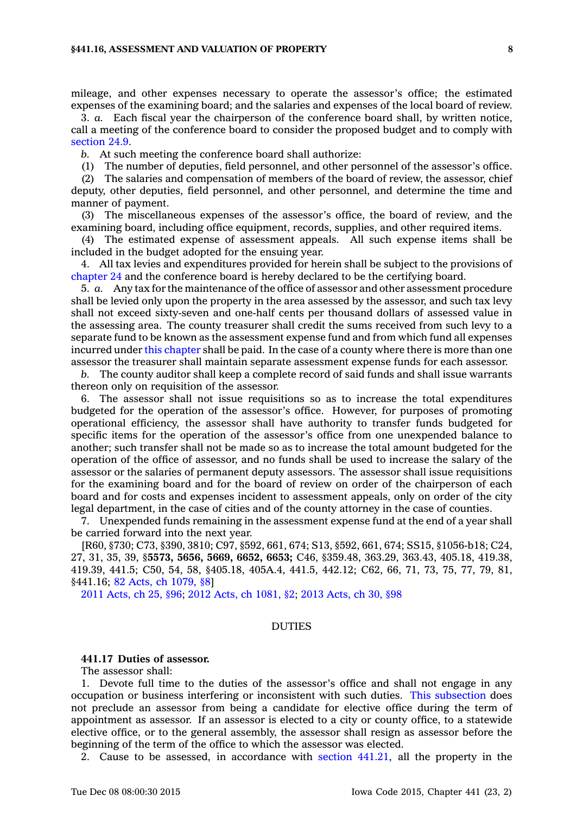#### **§441.16, ASSESSMENT AND VALUATION OF PROPERTY 8**

mileage, and other expenses necessary to operate the assessor's office; the estimated expenses of the examining board; and the salaries and expenses of the local board of review.

3. *a.* Each fiscal year the chairperson of the conference board shall, by written notice, call <sup>a</sup> meeting of the conference board to consider the proposed budget and to comply with [section](https://www.legis.iowa.gov/docs/code//24.9.pdf) 24.9.

*b.* At such meeting the conference board shall authorize:

(1) The number of deputies, field personnel, and other personnel of the assessor's office.

(2) The salaries and compensation of members of the board of review, the assessor, chief deputy, other deputies, field personnel, and other personnel, and determine the time and manner of payment.

(3) The miscellaneous expenses of the assessor's office, the board of review, and the examining board, including office equipment, records, supplies, and other required items.

(4) The estimated expense of assessment appeals. All such expense items shall be included in the budget adopted for the ensuing year.

4. All tax levies and expenditures provided for herein shall be subject to the provisions of [chapter](https://www.legis.iowa.gov/docs/code//24.pdf) 24 and the conference board is hereby declared to be the certifying board.

5. *a.* Any tax for the maintenance of the office of assessor and other assessment procedure shall be levied only upon the property in the area assessed by the assessor, and such tax levy shall not exceed sixty-seven and one-half cents per thousand dollars of assessed value in the assessing area. The county treasurer shall credit the sums received from such levy to <sup>a</sup> separate fund to be known as the assessment expense fund and from which fund all expenses incurred under this [chapter](https://www.legis.iowa.gov/docs/code//441.pdf) shall be paid. In the case of <sup>a</sup> county where there is more than one assessor the treasurer shall maintain separate assessment expense funds for each assessor.

*b.* The county auditor shall keep <sup>a</sup> complete record of said funds and shall issue warrants thereon only on requisition of the assessor.

6. The assessor shall not issue requisitions so as to increase the total expenditures budgeted for the operation of the assessor's office. However, for purposes of promoting operational efficiency, the assessor shall have authority to transfer funds budgeted for specific items for the operation of the assessor's office from one unexpended balance to another; such transfer shall not be made so as to increase the total amount budgeted for the operation of the office of assessor, and no funds shall be used to increase the salary of the assessor or the salaries of permanent deputy assessors. The assessor shall issue requisitions for the examining board and for the board of review on order of the chairperson of each board and for costs and expenses incident to assessment appeals, only on order of the city legal department, in the case of cities and of the county attorney in the case of counties.

7. Unexpended funds remaining in the assessment expense fund at the end of <sup>a</sup> year shall be carried forward into the next year.

[R60, §730; C73, §390, 3810; C97, §592, 661, 674; S13, §592, 661, 674; SS15, §1056-b18; C24, 27, 31, 35, 39, §**5573, 5656, 5669, 6652, 6653;** C46, §359.48, 363.29, 363.43, 405.18, 419.38, 419.39, 441.5; C50, 54, 58, §405.18, 405A.4, 441.5, 442.12; C62, 66, 71, 73, 75, 77, 79, 81, §441.16; 82 Acts, ch [1079,](https://www.legis.iowa.gov/docs/acts/1982/CH1079.pdf) §8]

2011 [Acts,](https://www.legis.iowa.gov/docs/acts/2011/CH0025.pdf) ch 25, §96; 2012 Acts, ch [1081,](https://www.legis.iowa.gov/docs/acts/2012/CH1081.pdf) §2; 2013 [Acts,](https://www.legis.iowa.gov/docs/acts/2013/CH0030.pdf) ch 30, §98

## DUTIES

## **441.17 Duties of assessor.**

The assessor shall:

1. Devote full time to the duties of the assessor's office and shall not engage in any occupation or business interfering or inconsistent with such duties. This [subsection](https://www.legis.iowa.gov/docs/code//441.17.pdf) does not preclude an assessor from being <sup>a</sup> candidate for elective office during the term of appointment as assessor. If an assessor is elected to <sup>a</sup> city or county office, to <sup>a</sup> statewide elective office, or to the general assembly, the assessor shall resign as assessor before the beginning of the term of the office to which the assessor was elected.

2. Cause to be assessed, in accordance with section [441.21](https://www.legis.iowa.gov/docs/code//441.21.pdf), all the property in the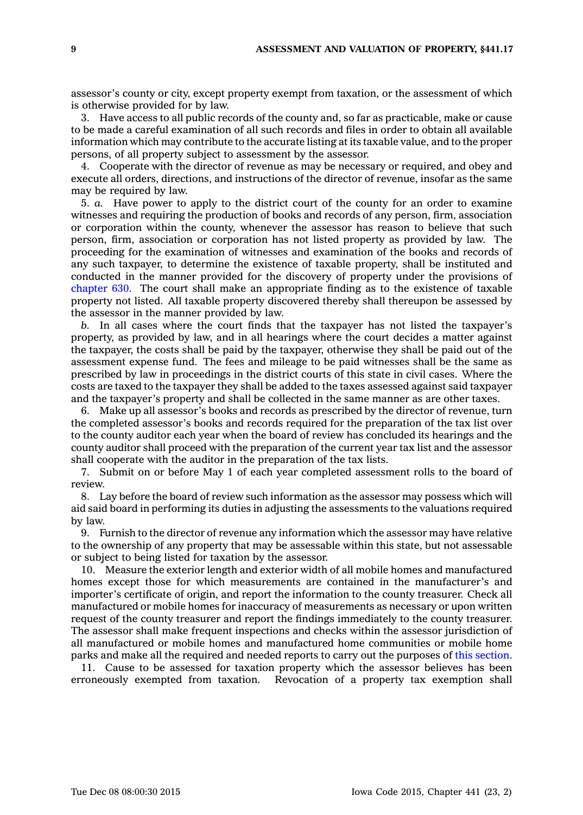assessor's county or city, except property exempt from taxation, or the assessment of which is otherwise provided for by law.

3. Have access to all public records of the county and, so far as practicable, make or cause to be made <sup>a</sup> careful examination of all such records and files in order to obtain all available information which may contribute to the accurate listing at its taxable value, and to the proper persons, of all property subject to assessment by the assessor.

4. Cooperate with the director of revenue as may be necessary or required, and obey and execute all orders, directions, and instructions of the director of revenue, insofar as the same may be required by law.

5. *a.* Have power to apply to the district court of the county for an order to examine witnesses and requiring the production of books and records of any person, firm, association or corporation within the county, whenever the assessor has reason to believe that such person, firm, association or corporation has not listed property as provided by law. The proceeding for the examination of witnesses and examination of the books and records of any such taxpayer, to determine the existence of taxable property, shall be instituted and conducted in the manner provided for the discovery of property under the provisions of [chapter](https://www.legis.iowa.gov/docs/code//630.pdf) 630. The court shall make an appropriate finding as to the existence of taxable property not listed. All taxable property discovered thereby shall thereupon be assessed by the assessor in the manner provided by law.

*b.* In all cases where the court finds that the taxpayer has not listed the taxpayer's property, as provided by law, and in all hearings where the court decides <sup>a</sup> matter against the taxpayer, the costs shall be paid by the taxpayer, otherwise they shall be paid out of the assessment expense fund. The fees and mileage to be paid witnesses shall be the same as prescribed by law in proceedings in the district courts of this state in civil cases. Where the costs are taxed to the taxpayer they shall be added to the taxes assessed against said taxpayer and the taxpayer's property and shall be collected in the same manner as are other taxes.

6. Make up all assessor's books and records as prescribed by the director of revenue, turn the completed assessor's books and records required for the preparation of the tax list over to the county auditor each year when the board of review has concluded its hearings and the county auditor shall proceed with the preparation of the current year tax list and the assessor shall cooperate with the auditor in the preparation of the tax lists.

7. Submit on or before May 1 of each year completed assessment rolls to the board of review.

8. Lay before the board of review such information as the assessor may possess which will aid said board in performing its duties in adjusting the assessments to the valuations required by law.

9. Furnish to the director of revenue any information which the assessor may have relative to the ownership of any property that may be assessable within this state, but not assessable or subject to being listed for taxation by the assessor.

10. Measure the exterior length and exterior width of all mobile homes and manufactured homes except those for which measurements are contained in the manufacturer's and importer's certificate of origin, and report the information to the county treasurer. Check all manufactured or mobile homes for inaccuracy of measurements as necessary or upon written request of the county treasurer and report the findings immediately to the county treasurer. The assessor shall make frequent inspections and checks within the assessor jurisdiction of all manufactured or mobile homes and manufactured home communities or mobile home parks and make all the required and needed reports to carry out the purposes of this [section](https://www.legis.iowa.gov/docs/code//441.17.pdf).

11. Cause to be assessed for taxation property which the assessor believes has been erroneously exempted from taxation. Revocation of <sup>a</sup> property tax exemption shall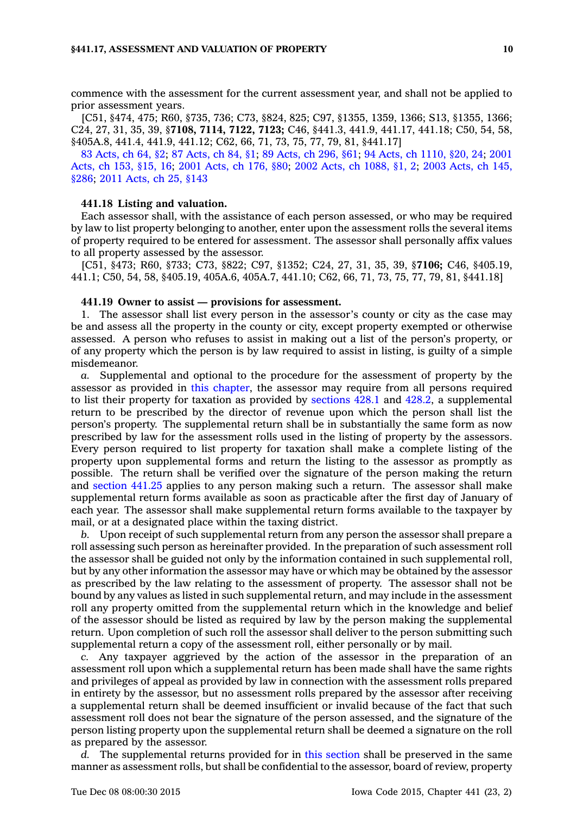commence with the assessment for the current assessment year, and shall not be applied to prior assessment years.

[C51, §474, 475; R60, §735, 736; C73, §824, 825; C97, §1355, 1359, 1366; S13, §1355, 1366; C24, 27, 31, 35, 39, §**7108, 7114, 7122, 7123;** C46, §441.3, 441.9, 441.17, 441.18; C50, 54, 58, §405A.8, 441.4, 441.9, 441.12; C62, 66, 71, 73, 75, 77, 79, 81, §441.17]

83 [Acts,](https://www.legis.iowa.gov/docs/acts/83/CH0064.pdf) ch 64, §2; 87 [Acts,](https://www.legis.iowa.gov/docs/acts/87/CH0084.pdf) ch 84, §1; 89 [Acts,](https://www.legis.iowa.gov/docs/acts/89/CH0296.pdf) ch 296, §61; 94 Acts, ch [1110,](https://www.legis.iowa.gov/docs/acts/94/CH1110.pdf) §20, 24; [2001](https://www.legis.iowa.gov/docs/acts/2001/CH0153.pdf) [Acts,](https://www.legis.iowa.gov/docs/acts/2001/CH0153.pdf) ch 153, §15, 16; 2001 [Acts,](https://www.legis.iowa.gov/docs/acts/2001/CH0176.pdf) ch 176, §80; 2002 Acts, ch [1088,](https://www.legis.iowa.gov/docs/acts/2002/CH1088.pdf) §1, 2; 2003 [Acts,](https://www.legis.iowa.gov/docs/acts/2003/CH0145.pdf) ch 145, [§286](https://www.legis.iowa.gov/docs/acts/2003/CH0145.pdf); 2011 [Acts,](https://www.legis.iowa.gov/docs/acts/2011/CH0025.pdf) ch 25, §143

## **441.18 Listing and valuation.**

Each assessor shall, with the assistance of each person assessed, or who may be required by law to list property belonging to another, enter upon the assessment rolls the several items of property required to be entered for assessment. The assessor shall personally affix values to all property assessed by the assessor.

[C51, §473; R60, §733; C73, §822; C97, §1352; C24, 27, 31, 35, 39, §**7106;** C46, §405.19, 441.1; C50, 54, 58, §405.19, 405A.6, 405A.7, 441.10; C62, 66, 71, 73, 75, 77, 79, 81, §441.18]

## **441.19 Owner to assist — provisions for assessment.**

1. The assessor shall list every person in the assessor's county or city as the case may be and assess all the property in the county or city, except property exempted or otherwise assessed. A person who refuses to assist in making out <sup>a</sup> list of the person's property, or of any property which the person is by law required to assist in listing, is guilty of <sup>a</sup> simple misdemeanor.

*a.* Supplemental and optional to the procedure for the assessment of property by the assessor as provided in this [chapter](https://www.legis.iowa.gov/docs/code//441.pdf), the assessor may require from all persons required to list their property for taxation as provided by [sections](https://www.legis.iowa.gov/docs/code//428.1.pdf) 428.1 and [428.2](https://www.legis.iowa.gov/docs/code//428.2.pdf), <sup>a</sup> supplemental return to be prescribed by the director of revenue upon which the person shall list the person's property. The supplemental return shall be in substantially the same form as now prescribed by law for the assessment rolls used in the listing of property by the assessors. Every person required to list property for taxation shall make <sup>a</sup> complete listing of the property upon supplemental forms and return the listing to the assessor as promptly as possible. The return shall be verified over the signature of the person making the return and [section](https://www.legis.iowa.gov/docs/code//441.25.pdf) 441.25 applies to any person making such <sup>a</sup> return. The assessor shall make supplemental return forms available as soon as practicable after the first day of January of each year. The assessor shall make supplemental return forms available to the taxpayer by mail, or at <sup>a</sup> designated place within the taxing district.

*b.* Upon receipt of such supplemental return from any person the assessor shall prepare <sup>a</sup> roll assessing such person as hereinafter provided. In the preparation of such assessment roll the assessor shall be guided not only by the information contained in such supplemental roll, but by any other information the assessor may have or which may be obtained by the assessor as prescribed by the law relating to the assessment of property. The assessor shall not be bound by any values as listed in such supplemental return, and may include in the assessment roll any property omitted from the supplemental return which in the knowledge and belief of the assessor should be listed as required by law by the person making the supplemental return. Upon completion of such roll the assessor shall deliver to the person submitting such supplemental return <sup>a</sup> copy of the assessment roll, either personally or by mail.

*c.* Any taxpayer aggrieved by the action of the assessor in the preparation of an assessment roll upon which <sup>a</sup> supplemental return has been made shall have the same rights and privileges of appeal as provided by law in connection with the assessment rolls prepared in entirety by the assessor, but no assessment rolls prepared by the assessor after receiving <sup>a</sup> supplemental return shall be deemed insufficient or invalid because of the fact that such assessment roll does not bear the signature of the person assessed, and the signature of the person listing property upon the supplemental return shall be deemed <sup>a</sup> signature on the roll as prepared by the assessor.

*d.* The supplemental returns provided for in this [section](https://www.legis.iowa.gov/docs/code//441.19.pdf) shall be preserved in the same manner as assessment rolls, but shall be confidential to the assessor, board of review, property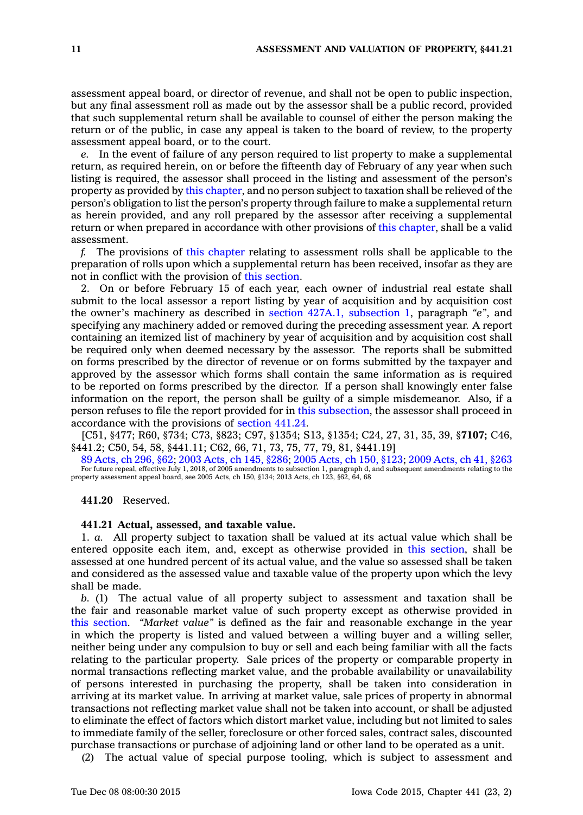assessment appeal board, or director of revenue, and shall not be open to public inspection, but any final assessment roll as made out by the assessor shall be <sup>a</sup> public record, provided that such supplemental return shall be available to counsel of either the person making the return or of the public, in case any appeal is taken to the board of review, to the property assessment appeal board, or to the court.

*e.* In the event of failure of any person required to list property to make <sup>a</sup> supplemental return, as required herein, on or before the fifteenth day of February of any year when such listing is required, the assessor shall proceed in the listing and assessment of the person's property as provided by this [chapter](https://www.legis.iowa.gov/docs/code//441.pdf), and no person subject to taxation shall be relieved of the person's obligation to list the person's property through failure to make <sup>a</sup> supplemental return as herein provided, and any roll prepared by the assessor after receiving <sup>a</sup> supplemental return or when prepared in accordance with other provisions of this [chapter](https://www.legis.iowa.gov/docs/code//441.pdf), shall be <sup>a</sup> valid assessment.

*f.* The provisions of this [chapter](https://www.legis.iowa.gov/docs/code//441.pdf) relating to assessment rolls shall be applicable to the preparation of rolls upon which <sup>a</sup> supplemental return has been received, insofar as they are not in conflict with the provision of this [section](https://www.legis.iowa.gov/docs/code//441.19.pdf).

2. On or before February 15 of each year, each owner of industrial real estate shall submit to the local assessor <sup>a</sup> report listing by year of acquisition and by acquisition cost the owner's machinery as described in section 427A.1, [subsection](https://www.legis.iowa.gov/docs/code//427A.1.pdf) 1, paragraph *"e"*, and specifying any machinery added or removed during the preceding assessment year. A report containing an itemized list of machinery by year of acquisition and by acquisition cost shall be required only when deemed necessary by the assessor. The reports shall be submitted on forms prescribed by the director of revenue or on forms submitted by the taxpayer and approved by the assessor which forms shall contain the same information as is required to be reported on forms prescribed by the director. If <sup>a</sup> person shall knowingly enter false information on the report, the person shall be guilty of <sup>a</sup> simple misdemeanor. Also, if <sup>a</sup> person refuses to file the report provided for in this [subsection](https://www.legis.iowa.gov/docs/code//441.19.pdf), the assessor shall proceed in accordance with the provisions of [section](https://www.legis.iowa.gov/docs/code//441.24.pdf) 441.24.

[C51, §477; R60, §734; C73, §823; C97, §1354; S13, §1354; C24, 27, 31, 35, 39, §**7107;** C46, §441.2; C50, 54, 58, §441.11; C62, 66, 71, 73, 75, 77, 79, 81, §441.19]

89 [Acts,](https://www.legis.iowa.gov/docs/acts/1989/CH0296.pdf) ch 296, §62; 2003 [Acts,](https://www.legis.iowa.gov/docs/acts/2003/CH0145.pdf) ch 145, §286; 2005 [Acts,](https://www.legis.iowa.gov/docs/acts/2005/CH0150.pdf) ch 150, §123; 2009 [Acts,](https://www.legis.iowa.gov/docs/acts/2009/CH0041.pdf) ch 41, §263 For future repeal, effective July 1, 2018, of 2005 amendments to subsection 1, paragraph d, and subsequent amendments relating to the property assessment appeal board, see 2005 Acts, ch 150, §134; 2013 Acts, ch 123, §62, 64, 68

**441.20** Reserved.

## **441.21 Actual, assessed, and taxable value.**

1. *a.* All property subject to taxation shall be valued at its actual value which shall be entered opposite each item, and, except as otherwise provided in this [section](https://www.legis.iowa.gov/docs/code//441.21.pdf), shall be assessed at one hundred percent of its actual value, and the value so assessed shall be taken and considered as the assessed value and taxable value of the property upon which the levy shall be made.

*b.* (1) The actual value of all property subject to assessment and taxation shall be the fair and reasonable market value of such property except as otherwise provided in this [section](https://www.legis.iowa.gov/docs/code//441.21.pdf). *"Market value"* is defined as the fair and reasonable exchange in the year in which the property is listed and valued between <sup>a</sup> willing buyer and <sup>a</sup> willing seller, neither being under any compulsion to buy or sell and each being familiar with all the facts relating to the particular property. Sale prices of the property or comparable property in normal transactions reflecting market value, and the probable availability or unavailability of persons interested in purchasing the property, shall be taken into consideration in arriving at its market value. In arriving at market value, sale prices of property in abnormal transactions not reflecting market value shall not be taken into account, or shall be adjusted to eliminate the effect of factors which distort market value, including but not limited to sales to immediate family of the seller, foreclosure or other forced sales, contract sales, discounted purchase transactions or purchase of adjoining land or other land to be operated as <sup>a</sup> unit.

(2) The actual value of special purpose tooling, which is subject to assessment and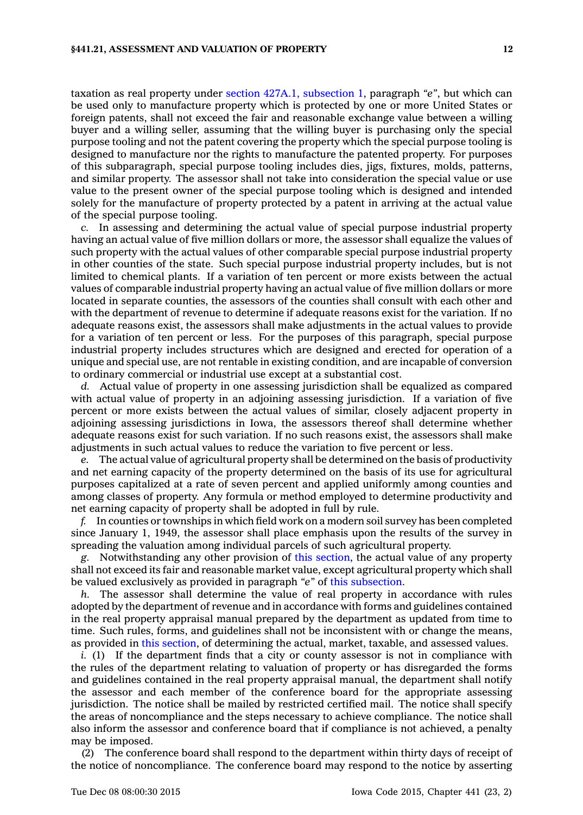taxation as real property under section 427A.1, [subsection](https://www.legis.iowa.gov/docs/code//427A.1.pdf) 1, paragraph *"e"*, but which can be used only to manufacture property which is protected by one or more United States or foreign patents, shall not exceed the fair and reasonable exchange value between <sup>a</sup> willing buyer and <sup>a</sup> willing seller, assuming that the willing buyer is purchasing only the special purpose tooling and not the patent covering the property which the special purpose tooling is designed to manufacture nor the rights to manufacture the patented property. For purposes of this subparagraph, special purpose tooling includes dies, jigs, fixtures, molds, patterns, and similar property. The assessor shall not take into consideration the special value or use value to the present owner of the special purpose tooling which is designed and intended solely for the manufacture of property protected by <sup>a</sup> patent in arriving at the actual value of the special purpose tooling.

*c.* In assessing and determining the actual value of special purpose industrial property having an actual value of five million dollars or more, the assessor shall equalize the values of such property with the actual values of other comparable special purpose industrial property in other counties of the state. Such special purpose industrial property includes, but is not limited to chemical plants. If <sup>a</sup> variation of ten percent or more exists between the actual values of comparable industrial property having an actual value of five million dollars or more located in separate counties, the assessors of the counties shall consult with each other and with the department of revenue to determine if adequate reasons exist for the variation. If no adequate reasons exist, the assessors shall make adjustments in the actual values to provide for <sup>a</sup> variation of ten percent or less. For the purposes of this paragraph, special purpose industrial property includes structures which are designed and erected for operation of <sup>a</sup> unique and special use, are not rentable in existing condition, and are incapable of conversion to ordinary commercial or industrial use except at <sup>a</sup> substantial cost.

*d.* Actual value of property in one assessing jurisdiction shall be equalized as compared with actual value of property in an adjoining assessing jurisdiction. If <sup>a</sup> variation of five percent or more exists between the actual values of similar, closely adjacent property in adjoining assessing jurisdictions in Iowa, the assessors thereof shall determine whether adequate reasons exist for such variation. If no such reasons exist, the assessors shall make adjustments in such actual values to reduce the variation to five percent or less.

*e.* The actual value of agricultural property shall be determined on the basis of productivity and net earning capacity of the property determined on the basis of its use for agricultural purposes capitalized at <sup>a</sup> rate of seven percent and applied uniformly among counties and among classes of property. Any formula or method employed to determine productivity and net earning capacity of property shall be adopted in full by rule.

*f.* In counties or townships in which field work on <sup>a</sup> modern soil survey has been completed since January 1, 1949, the assessor shall place emphasis upon the results of the survey in spreading the valuation among individual parcels of such agricultural property.

*g.* Notwithstanding any other provision of this [section](https://www.legis.iowa.gov/docs/code//441.21.pdf), the actual value of any property shall not exceed its fair and reasonable market value, except agricultural property which shall be valued exclusively as provided in paragraph *"e"* of this [subsection](https://www.legis.iowa.gov/docs/code//441.21.pdf).

*h.* The assessor shall determine the value of real property in accordance with rules adopted by the department of revenue and in accordance with forms and guidelines contained in the real property appraisal manual prepared by the department as updated from time to time. Such rules, forms, and guidelines shall not be inconsistent with or change the means, as provided in this [section](https://www.legis.iowa.gov/docs/code//441.21.pdf), of determining the actual, market, taxable, and assessed values.

*i.* (1) If the department finds that a city or county assessor is not in compliance with the rules of the department relating to valuation of property or has disregarded the forms and guidelines contained in the real property appraisal manual, the department shall notify the assessor and each member of the conference board for the appropriate assessing jurisdiction. The notice shall be mailed by restricted certified mail. The notice shall specify the areas of noncompliance and the steps necessary to achieve compliance. The notice shall also inform the assessor and conference board that if compliance is not achieved, <sup>a</sup> penalty may be imposed.

(2) The conference board shall respond to the department within thirty days of receipt of the notice of noncompliance. The conference board may respond to the notice by asserting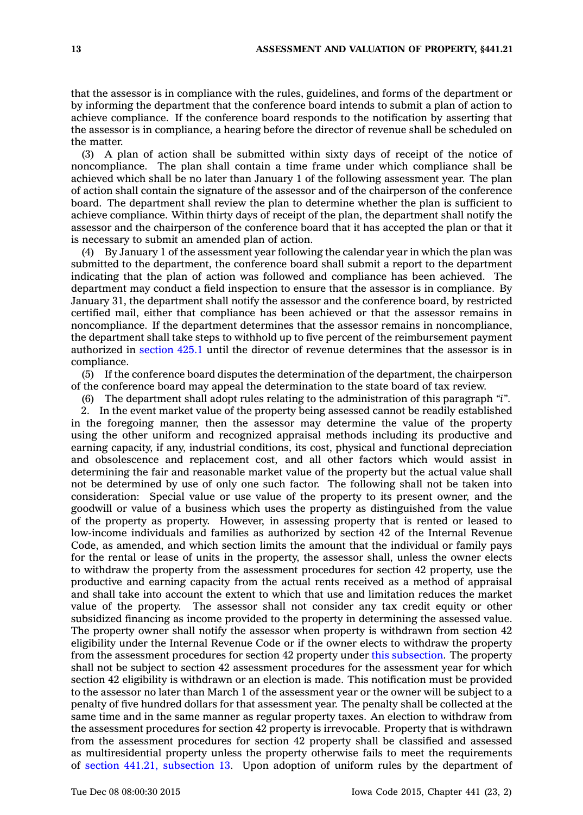that the assessor is in compliance with the rules, guidelines, and forms of the department or by informing the department that the conference board intends to submit <sup>a</sup> plan of action to achieve compliance. If the conference board responds to the notification by asserting that the assessor is in compliance, <sup>a</sup> hearing before the director of revenue shall be scheduled on the matter.

(3) A plan of action shall be submitted within sixty days of receipt of the notice of noncompliance. The plan shall contain <sup>a</sup> time frame under which compliance shall be achieved which shall be no later than January 1 of the following assessment year. The plan of action shall contain the signature of the assessor and of the chairperson of the conference board. The department shall review the plan to determine whether the plan is sufficient to achieve compliance. Within thirty days of receipt of the plan, the department shall notify the assessor and the chairperson of the conference board that it has accepted the plan or that it is necessary to submit an amended plan of action.

(4) By January 1 of the assessment year following the calendar year in which the plan was submitted to the department, the conference board shall submit <sup>a</sup> report to the department indicating that the plan of action was followed and compliance has been achieved. The department may conduct <sup>a</sup> field inspection to ensure that the assessor is in compliance. By January 31, the department shall notify the assessor and the conference board, by restricted certified mail, either that compliance has been achieved or that the assessor remains in noncompliance. If the department determines that the assessor remains in noncompliance, the department shall take steps to withhold up to five percent of the reimbursement payment authorized in [section](https://www.legis.iowa.gov/docs/code//425.1.pdf) 425.1 until the director of revenue determines that the assessor is in compliance.

(5) If the conference board disputes the determination of the department, the chairperson of the conference board may appeal the determination to the state board of tax review.

(6) The department shall adopt rules relating to the administration of this paragraph *"i"*.

2. In the event market value of the property being assessed cannot be readily established in the foregoing manner, then the assessor may determine the value of the property using the other uniform and recognized appraisal methods including its productive and earning capacity, if any, industrial conditions, its cost, physical and functional depreciation and obsolescence and replacement cost, and all other factors which would assist in determining the fair and reasonable market value of the property but the actual value shall not be determined by use of only one such factor. The following shall not be taken into consideration: Special value or use value of the property to its present owner, and the goodwill or value of <sup>a</sup> business which uses the property as distinguished from the value of the property as property. However, in assessing property that is rented or leased to low-income individuals and families as authorized by section 42 of the Internal Revenue Code, as amended, and which section limits the amount that the individual or family pays for the rental or lease of units in the property, the assessor shall, unless the owner elects to withdraw the property from the assessment procedures for section 42 property, use the productive and earning capacity from the actual rents received as <sup>a</sup> method of appraisal and shall take into account the extent to which that use and limitation reduces the market value of the property. The assessor shall not consider any tax credit equity or other subsidized financing as income provided to the property in determining the assessed value. The property owner shall notify the assessor when property is withdrawn from section 42 eligibility under the Internal Revenue Code or if the owner elects to withdraw the property from the assessment procedures for section 42 property under this [subsection](https://www.legis.iowa.gov/docs/code//441.21.pdf). The property shall not be subject to section 42 assessment procedures for the assessment year for which section 42 eligibility is withdrawn or an election is made. This notification must be provided to the assessor no later than March 1 of the assessment year or the owner will be subject to <sup>a</sup> penalty of five hundred dollars for that assessment year. The penalty shall be collected at the same time and in the same manner as regular property taxes. An election to withdraw from the assessment procedures for section 42 property is irrevocable. Property that is withdrawn from the assessment procedures for section 42 property shall be classified and assessed as multiresidential property unless the property otherwise fails to meet the requirements of section 441.21, [subsection](https://www.legis.iowa.gov/docs/code//441.21.pdf) 13. Upon adoption of uniform rules by the department of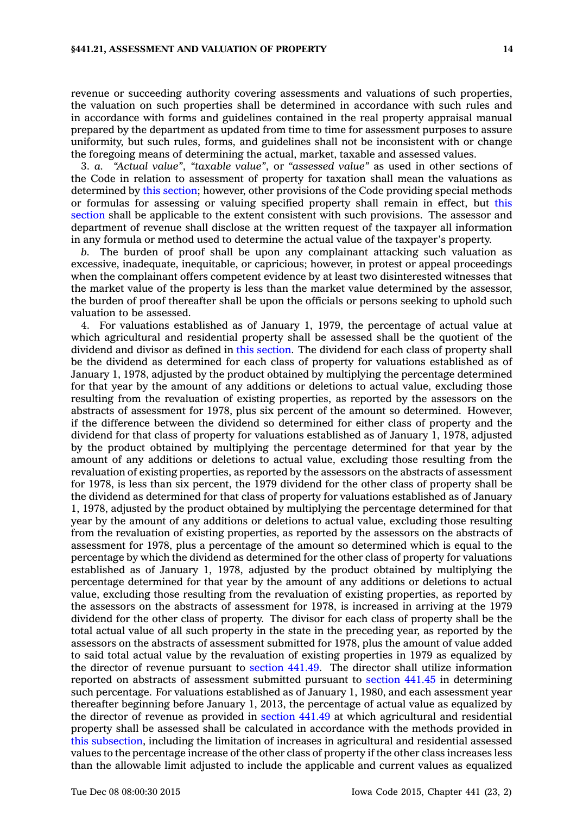revenue or succeeding authority covering assessments and valuations of such properties, the valuation on such properties shall be determined in accordance with such rules and in accordance with forms and guidelines contained in the real property appraisal manual prepared by the department as updated from time to time for assessment purposes to assure uniformity, but such rules, forms, and guidelines shall not be inconsistent with or change the foregoing means of determining the actual, market, taxable and assessed values.

3. *a. "Actual value"*, *"taxable value"*, or *"assessed value"* as used in other sections of the Code in relation to assessment of property for taxation shall mean the valuations as determined by this [section](https://www.legis.iowa.gov/docs/code//441.21.pdf); however, other provisions of the Code providing special methods or formulas for assessing or valuing specified property shall remain in effect, but [this](https://www.legis.iowa.gov/docs/code//441.21.pdf) [section](https://www.legis.iowa.gov/docs/code//441.21.pdf) shall be applicable to the extent consistent with such provisions. The assessor and department of revenue shall disclose at the written request of the taxpayer all information in any formula or method used to determine the actual value of the taxpayer's property.

*b.* The burden of proof shall be upon any complainant attacking such valuation as excessive, inadequate, inequitable, or capricious; however, in protest or appeal proceedings when the complainant offers competent evidence by at least two disinterested witnesses that the market value of the property is less than the market value determined by the assessor, the burden of proof thereafter shall be upon the officials or persons seeking to uphold such valuation to be assessed.

4. For valuations established as of January 1, 1979, the percentage of actual value at which agricultural and residential property shall be assessed shall be the quotient of the dividend and divisor as defined in this [section](https://www.legis.iowa.gov/docs/code//441.21.pdf). The dividend for each class of property shall be the dividend as determined for each class of property for valuations established as of January 1, 1978, adjusted by the product obtained by multiplying the percentage determined for that year by the amount of any additions or deletions to actual value, excluding those resulting from the revaluation of existing properties, as reported by the assessors on the abstracts of assessment for 1978, plus six percent of the amount so determined. However, if the difference between the dividend so determined for either class of property and the dividend for that class of property for valuations established as of January 1, 1978, adjusted by the product obtained by multiplying the percentage determined for that year by the amount of any additions or deletions to actual value, excluding those resulting from the revaluation of existing properties, as reported by the assessors on the abstracts of assessment for 1978, is less than six percent, the 1979 dividend for the other class of property shall be the dividend as determined for that class of property for valuations established as of January 1, 1978, adjusted by the product obtained by multiplying the percentage determined for that year by the amount of any additions or deletions to actual value, excluding those resulting from the revaluation of existing properties, as reported by the assessors on the abstracts of assessment for 1978, plus <sup>a</sup> percentage of the amount so determined which is equal to the percentage by which the dividend as determined for the other class of property for valuations established as of January 1, 1978, adjusted by the product obtained by multiplying the percentage determined for that year by the amount of any additions or deletions to actual value, excluding those resulting from the revaluation of existing properties, as reported by the assessors on the abstracts of assessment for 1978, is increased in arriving at the 1979 dividend for the other class of property. The divisor for each class of property shall be the total actual value of all such property in the state in the preceding year, as reported by the assessors on the abstracts of assessment submitted for 1978, plus the amount of value added to said total actual value by the revaluation of existing properties in 1979 as equalized by the director of revenue pursuant to [section](https://www.legis.iowa.gov/docs/code//441.49.pdf) 441.49. The director shall utilize information reported on abstracts of assessment submitted pursuant to [section](https://www.legis.iowa.gov/docs/code//441.45.pdf) 441.45 in determining such percentage. For valuations established as of January 1, 1980, and each assessment year thereafter beginning before January 1, 2013, the percentage of actual value as equalized by the director of revenue as provided in [section](https://www.legis.iowa.gov/docs/code//441.49.pdf) 441.49 at which agricultural and residential property shall be assessed shall be calculated in accordance with the methods provided in this [subsection](https://www.legis.iowa.gov/docs/code//441.21.pdf), including the limitation of increases in agricultural and residential assessed values to the percentage increase of the other class of property if the other class increases less than the allowable limit adjusted to include the applicable and current values as equalized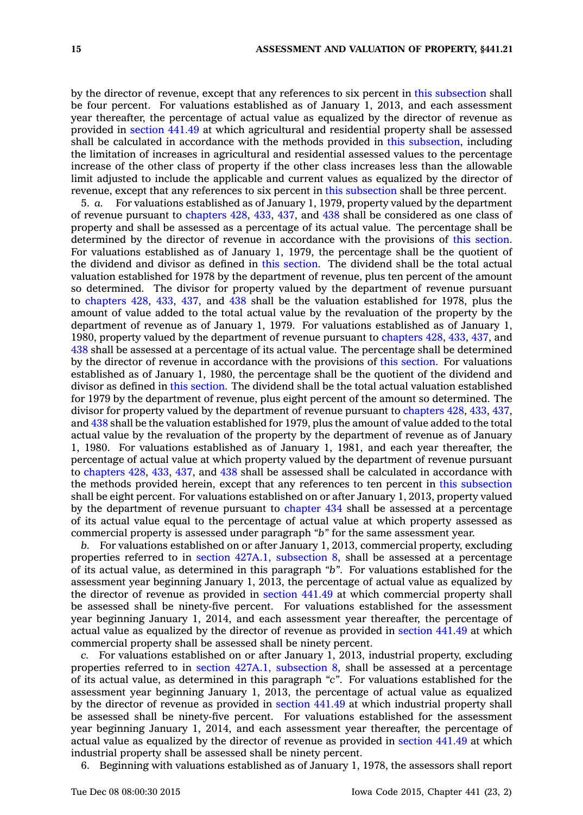by the director of revenue, except that any references to six percent in this [subsection](https://www.legis.iowa.gov/docs/code//441.21.pdf) shall be four percent. For valuations established as of January 1, 2013, and each assessment year thereafter, the percentage of actual value as equalized by the director of revenue as provided in [section](https://www.legis.iowa.gov/docs/code//441.49.pdf) 441.49 at which agricultural and residential property shall be assessed shall be calculated in accordance with the methods provided in this [subsection](https://www.legis.iowa.gov/docs/code//441.21.pdf), including the limitation of increases in agricultural and residential assessed values to the percentage increase of the other class of property if the other class increases less than the allowable limit adjusted to include the applicable and current values as equalized by the director of revenue, except that any references to six percent in this [subsection](https://www.legis.iowa.gov/docs/code//441.21.pdf) shall be three percent.

5. *a.* For valuations established as of January 1, 1979, property valued by the department of revenue pursuant to [chapters](https://www.legis.iowa.gov/docs/code//428.pdf) 428, [433](https://www.legis.iowa.gov/docs/code//433.pdf), [437](https://www.legis.iowa.gov/docs/code//437.pdf), and [438](https://www.legis.iowa.gov/docs/code//438.pdf) shall be considered as one class of property and shall be assessed as <sup>a</sup> percentage of its actual value. The percentage shall be determined by the director of revenue in accordance with the provisions of this [section](https://www.legis.iowa.gov/docs/code//441.21.pdf). For valuations established as of January 1, 1979, the percentage shall be the quotient of the dividend and divisor as defined in this [section](https://www.legis.iowa.gov/docs/code//441.21.pdf). The dividend shall be the total actual valuation established for 1978 by the department of revenue, plus ten percent of the amount so determined. The divisor for property valued by the department of revenue pursuant to [chapters](https://www.legis.iowa.gov/docs/code//428.pdf) 428, [433](https://www.legis.iowa.gov/docs/code//433.pdf), [437](https://www.legis.iowa.gov/docs/code//437.pdf), and [438](https://www.legis.iowa.gov/docs/code//438.pdf) shall be the valuation established for 1978, plus the amount of value added to the total actual value by the revaluation of the property by the department of revenue as of January 1, 1979. For valuations established as of January 1, 1980, property valued by the department of revenue pursuant to [chapters](https://www.legis.iowa.gov/docs/code//428.pdf) 428, [433](https://www.legis.iowa.gov/docs/code//433.pdf), [437](https://www.legis.iowa.gov/docs/code//437.pdf), and [438](https://www.legis.iowa.gov/docs/code//438.pdf) shall be assessed at <sup>a</sup> percentage of its actual value. The percentage shall be determined by the director of revenue in accordance with the provisions of this [section](https://www.legis.iowa.gov/docs/code//441.21.pdf). For valuations established as of January 1, 1980, the percentage shall be the quotient of the dividend and divisor as defined in this [section](https://www.legis.iowa.gov/docs/code//441.21.pdf). The dividend shall be the total actual valuation established for 1979 by the department of revenue, plus eight percent of the amount so determined. The divisor for property valued by the department of revenue pursuant to [chapters](https://www.legis.iowa.gov/docs/code//428.pdf) 428, [433](https://www.legis.iowa.gov/docs/code//433.pdf), [437](https://www.legis.iowa.gov/docs/code//437.pdf), and [438](https://www.legis.iowa.gov/docs/code//438.pdf) shall be the valuation established for 1979, plus the amount of value added to the total actual value by the revaluation of the property by the department of revenue as of January 1, 1980. For valuations established as of January 1, 1981, and each year thereafter, the percentage of actual value at which property valued by the department of revenue pursuant to [chapters](https://www.legis.iowa.gov/docs/code//428.pdf) 428, [433](https://www.legis.iowa.gov/docs/code//433.pdf), [437](https://www.legis.iowa.gov/docs/code//437.pdf), and [438](https://www.legis.iowa.gov/docs/code//438.pdf) shall be assessed shall be calculated in accordance with the methods provided herein, except that any references to ten percent in this [subsection](https://www.legis.iowa.gov/docs/code//441.21.pdf) shall be eight percent. For valuations established on or after January 1, 2013, property valued by the department of revenue pursuant to [chapter](https://www.legis.iowa.gov/docs/code//434.pdf) 434 shall be assessed at <sup>a</sup> percentage of its actual value equal to the percentage of actual value at which property assessed as commercial property is assessed under paragraph *"b"* for the same assessment year.

*b.* For valuations established on or after January 1, 2013, commercial property, excluding properties referred to in section 427A.1, [subsection](https://www.legis.iowa.gov/docs/code//427A.1.pdf) 8, shall be assessed at <sup>a</sup> percentage of its actual value, as determined in this paragraph *"b"*. For valuations established for the assessment year beginning January 1, 2013, the percentage of actual value as equalized by the director of revenue as provided in [section](https://www.legis.iowa.gov/docs/code//441.49.pdf) 441.49 at which commercial property shall be assessed shall be ninety-five percent. For valuations established for the assessment year beginning January 1, 2014, and each assessment year thereafter, the percentage of actual value as equalized by the director of revenue as provided in [section](https://www.legis.iowa.gov/docs/code//441.49.pdf) 441.49 at which commercial property shall be assessed shall be ninety percent.

*c.* For valuations established on or after January 1, 2013, industrial property, excluding properties referred to in section 427A.1, [subsection](https://www.legis.iowa.gov/docs/code//427A.1.pdf) 8, shall be assessed at <sup>a</sup> percentage of its actual value, as determined in this paragraph *"c"*. For valuations established for the assessment year beginning January 1, 2013, the percentage of actual value as equalized by the director of revenue as provided in [section](https://www.legis.iowa.gov/docs/code//441.49.pdf) 441.49 at which industrial property shall be assessed shall be ninety-five percent. For valuations established for the assessment year beginning January 1, 2014, and each assessment year thereafter, the percentage of actual value as equalized by the director of revenue as provided in [section](https://www.legis.iowa.gov/docs/code//441.49.pdf) 441.49 at which industrial property shall be assessed shall be ninety percent.

6. Beginning with valuations established as of January 1, 1978, the assessors shall report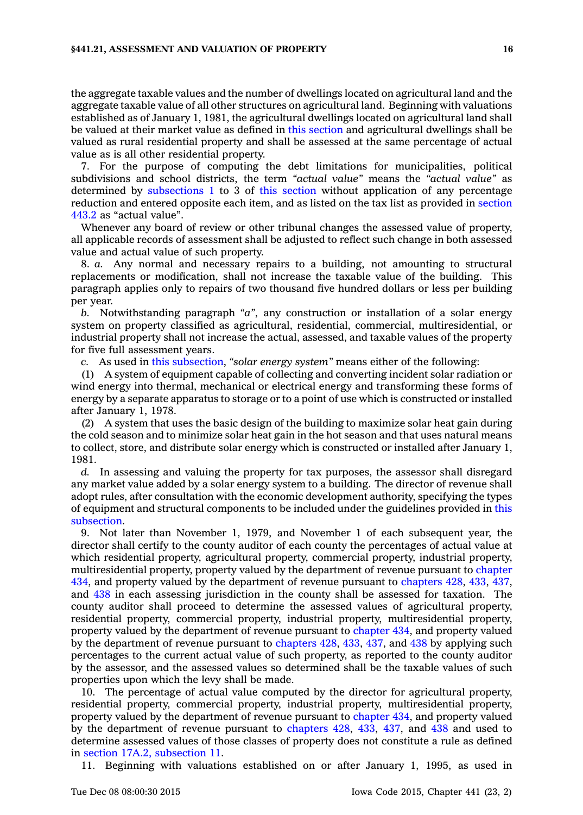### **§441.21, ASSESSMENT AND VALUATION OF PROPERTY 16**

the aggregate taxable values and the number of dwellings located on agricultural land and the aggregate taxable value of all other structures on agricultural land. Beginning with valuations established as of January 1, 1981, the agricultural dwellings located on agricultural land shall be valued at their market value as defined in this [section](https://www.legis.iowa.gov/docs/code//441.21.pdf) and agricultural dwellings shall be valued as rural residential property and shall be assessed at the same percentage of actual value as is all other residential property.

7. For the purpose of computing the debt limitations for municipalities, political subdivisions and school districts, the term *"actual value"* means the *"actual value"* as determined by [subsections](https://www.legis.iowa.gov/docs/code//441.21.pdf) 1 to 3 of this [section](https://www.legis.iowa.gov/docs/code//441.21.pdf) without application of any percentage reduction and entered opposite each item, and as listed on the tax list as provided in [section](https://www.legis.iowa.gov/docs/code//443.2.pdf) [443.2](https://www.legis.iowa.gov/docs/code//443.2.pdf) as "actual value".

Whenever any board of review or other tribunal changes the assessed value of property, all applicable records of assessment shall be adjusted to reflect such change in both assessed value and actual value of such property.

8. *a.* Any normal and necessary repairs to <sup>a</sup> building, not amounting to structural replacements or modification, shall not increase the taxable value of the building. This paragraph applies only to repairs of two thousand five hundred dollars or less per building per year.

*b.* Notwithstanding paragraph *"a"*, any construction or installation of <sup>a</sup> solar energy system on property classified as agricultural, residential, commercial, multiresidential, or industrial property shall not increase the actual, assessed, and taxable values of the property for five full assessment years.

*c.* As used in this [subsection](https://www.legis.iowa.gov/docs/code//441.21.pdf), *"solar energy system"* means either of the following:

(1) A system of equipment capable of collecting and converting incident solar radiation or wind energy into thermal, mechanical or electrical energy and transforming these forms of energy by <sup>a</sup> separate apparatus to storage or to <sup>a</sup> point of use which is constructed or installed after January 1, 1978.

(2) A system that uses the basic design of the building to maximize solar heat gain during the cold season and to minimize solar heat gain in the hot season and that uses natural means to collect, store, and distribute solar energy which is constructed or installed after January 1, 1981.

*d.* In assessing and valuing the property for tax purposes, the assessor shall disregard any market value added by <sup>a</sup> solar energy system to <sup>a</sup> building. The director of revenue shall adopt rules, after consultation with the economic development authority, specifying the types of equipment and structural components to be included under the guidelines provided in [this](https://www.legis.iowa.gov/docs/code//441.21.pdf) [subsection](https://www.legis.iowa.gov/docs/code//441.21.pdf).

9. Not later than November 1, 1979, and November 1 of each subsequent year, the director shall certify to the county auditor of each county the percentages of actual value at which residential property, agricultural property, commercial property, industrial property, multiresidential property, property valued by the department of revenue pursuant to [chapter](https://www.legis.iowa.gov/docs/code//434.pdf) [434](https://www.legis.iowa.gov/docs/code//434.pdf), and property valued by the department of revenue pursuant to [chapters](https://www.legis.iowa.gov/docs/code//428.pdf) 428, [433](https://www.legis.iowa.gov/docs/code//433.pdf), [437](https://www.legis.iowa.gov/docs/code//437.pdf), and [438](https://www.legis.iowa.gov/docs/code//438.pdf) in each assessing jurisdiction in the county shall be assessed for taxation. The county auditor shall proceed to determine the assessed values of agricultural property, residential property, commercial property, industrial property, multiresidential property, property valued by the department of revenue pursuant to [chapter](https://www.legis.iowa.gov/docs/code//434.pdf) 434, and property valued by the department of revenue pursuant to [chapters](https://www.legis.iowa.gov/docs/code//428.pdf) 428, [433](https://www.legis.iowa.gov/docs/code//433.pdf), [437](https://www.legis.iowa.gov/docs/code//437.pdf), and [438](https://www.legis.iowa.gov/docs/code//438.pdf) by applying such percentages to the current actual value of such property, as reported to the county auditor by the assessor, and the assessed values so determined shall be the taxable values of such properties upon which the levy shall be made.

10. The percentage of actual value computed by the director for agricultural property, residential property, commercial property, industrial property, multiresidential property, property valued by the department of revenue pursuant to [chapter](https://www.legis.iowa.gov/docs/code//434.pdf) 434, and property valued by the department of revenue pursuant to [chapters](https://www.legis.iowa.gov/docs/code//428.pdf) 428, [433](https://www.legis.iowa.gov/docs/code//433.pdf), [437](https://www.legis.iowa.gov/docs/code//437.pdf), and [438](https://www.legis.iowa.gov/docs/code//438.pdf) and used to determine assessed values of those classes of property does not constitute <sup>a</sup> rule as defined in section 17A.2, [subsection](https://www.legis.iowa.gov/docs/code//17A.2.pdf) 11.

11. Beginning with valuations established on or after January 1, 1995, as used in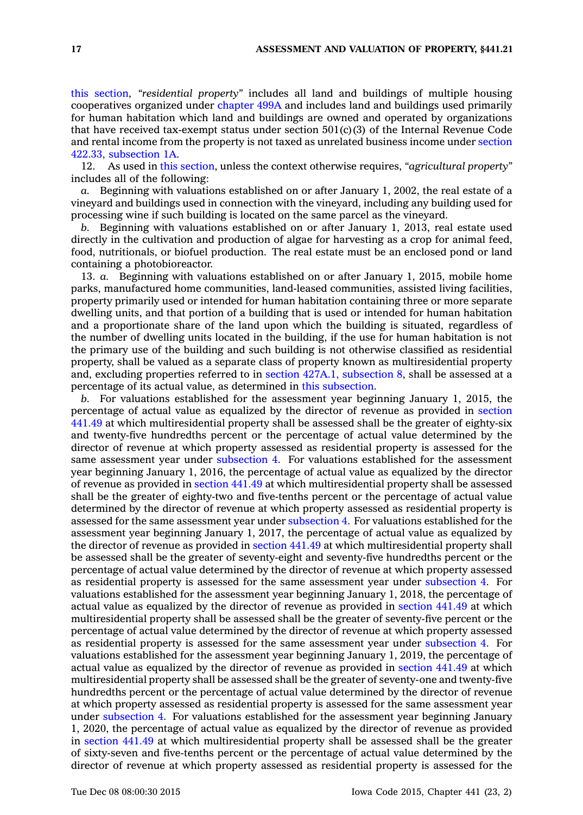this [section](https://www.legis.iowa.gov/docs/code//441.21.pdf), *"residential property"* includes all land and buildings of multiple housing cooperatives organized under [chapter](https://www.legis.iowa.gov/docs/code//499A.pdf) 499A and includes land and buildings used primarily for human habitation which land and buildings are owned and operated by organizations that have received tax-exempt status under section  $501(c)(3)$  of the Internal Revenue Code and rental income from the property is not taxed as unrelated business income under [section](https://www.legis.iowa.gov/docs/code//422.33.pdf) 422.33, [subsection](https://www.legis.iowa.gov/docs/code//422.33.pdf) 1A.

12. As used in this [section](https://www.legis.iowa.gov/docs/code//441.21.pdf), unless the context otherwise requires, *"agricultural property"* includes all of the following:

*a.* Beginning with valuations established on or after January 1, 2002, the real estate of <sup>a</sup> vineyard and buildings used in connection with the vineyard, including any building used for processing wine if such building is located on the same parcel as the vineyard.

*b.* Beginning with valuations established on or after January 1, 2013, real estate used directly in the cultivation and production of algae for harvesting as <sup>a</sup> crop for animal feed, food, nutritionals, or biofuel production. The real estate must be an enclosed pond or land containing <sup>a</sup> photobioreactor.

13. *a.* Beginning with valuations established on or after January 1, 2015, mobile home parks, manufactured home communities, land-leased communities, assisted living facilities, property primarily used or intended for human habitation containing three or more separate dwelling units, and that portion of <sup>a</sup> building that is used or intended for human habitation and <sup>a</sup> proportionate share of the land upon which the building is situated, regardless of the number of dwelling units located in the building, if the use for human habitation is not the primary use of the building and such building is not otherwise classified as residential property, shall be valued as <sup>a</sup> separate class of property known as multiresidential property and, excluding properties referred to in section 427A.1, [subsection](https://www.legis.iowa.gov/docs/code//427A.1.pdf) 8, shall be assessed at <sup>a</sup> percentage of its actual value, as determined in this [subsection](https://www.legis.iowa.gov/docs/code//441.21.pdf).

*b.* For valuations established for the assessment year beginning January 1, 2015, the percentage of actual value as equalized by the director of revenue as provided in [section](https://www.legis.iowa.gov/docs/code//441.49.pdf) [441.49](https://www.legis.iowa.gov/docs/code//441.49.pdf) at which multiresidential property shall be assessed shall be the greater of eighty-six and twenty-five hundredths percent or the percentage of actual value determined by the director of revenue at which property assessed as residential property is assessed for the same assessment year under [subsection](https://www.legis.iowa.gov/docs/code//441.21.pdf) 4. For valuations established for the assessment year beginning January 1, 2016, the percentage of actual value as equalized by the director of revenue as provided in [section](https://www.legis.iowa.gov/docs/code//441.49.pdf) 441.49 at which multiresidential property shall be assessed shall be the greater of eighty-two and five-tenths percent or the percentage of actual value determined by the director of revenue at which property assessed as residential property is assessed for the same assessment year under [subsection](https://www.legis.iowa.gov/docs/code//441.21.pdf) 4. For valuations established for the assessment year beginning January 1, 2017, the percentage of actual value as equalized by the director of revenue as provided in [section](https://www.legis.iowa.gov/docs/code//441.49.pdf) 441.49 at which multiresidential property shall be assessed shall be the greater of seventy-eight and seventy-five hundredths percent or the percentage of actual value determined by the director of revenue at which property assessed as residential property is assessed for the same assessment year under [subsection](https://www.legis.iowa.gov/docs/code//441.21.pdf) 4. For valuations established for the assessment year beginning January 1, 2018, the percentage of actual value as equalized by the director of revenue as provided in [section](https://www.legis.iowa.gov/docs/code//441.49.pdf) 441.49 at which multiresidential property shall be assessed shall be the greater of seventy-five percent or the percentage of actual value determined by the director of revenue at which property assessed as residential property is assessed for the same assessment year under [subsection](https://www.legis.iowa.gov/docs/code//441.21.pdf) 4. For valuations established for the assessment year beginning January 1, 2019, the percentage of actual value as equalized by the director of revenue as provided in [section](https://www.legis.iowa.gov/docs/code//441.49.pdf) 441.49 at which multiresidential property shall be assessed shall be the greater of seventy-one and twenty-five hundredths percent or the percentage of actual value determined by the director of revenue at which property assessed as residential property is assessed for the same assessment year under [subsection](https://www.legis.iowa.gov/docs/code//441.21.pdf) 4. For valuations established for the assessment year beginning January 1, 2020, the percentage of actual value as equalized by the director of revenue as provided in [section](https://www.legis.iowa.gov/docs/code//441.49.pdf) 441.49 at which multiresidential property shall be assessed shall be the greater of sixty-seven and five-tenths percent or the percentage of actual value determined by the director of revenue at which property assessed as residential property is assessed for the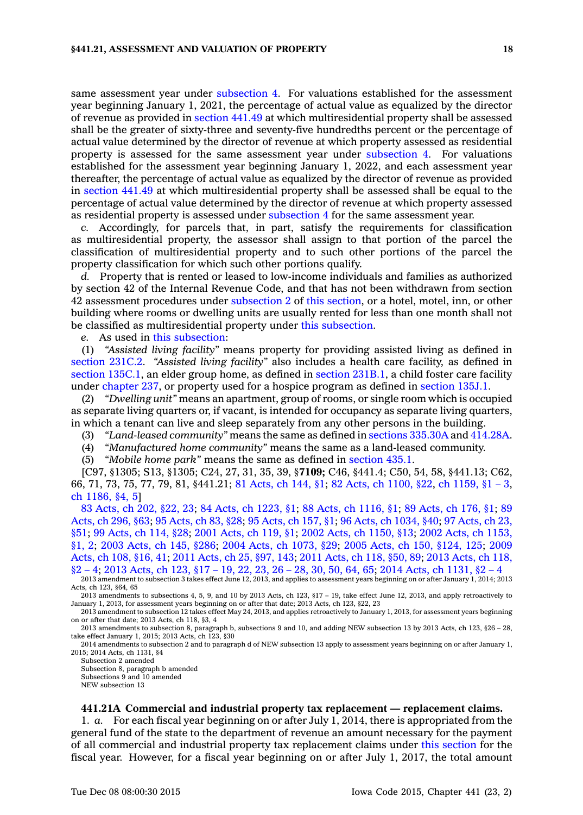same assessment year under [subsection](https://www.legis.iowa.gov/docs/code//441.21.pdf) 4. For valuations established for the assessment year beginning January 1, 2021, the percentage of actual value as equalized by the director of revenue as provided in [section](https://www.legis.iowa.gov/docs/code//441.49.pdf) 441.49 at which multiresidential property shall be assessed shall be the greater of sixty-three and seventy-five hundredths percent or the percentage of actual value determined by the director of revenue at which property assessed as residential property is assessed for the same assessment year under [subsection](https://www.legis.iowa.gov/docs/code//441.21.pdf) 4. For valuations established for the assessment year beginning January 1, 2022, and each assessment year thereafter, the percentage of actual value as equalized by the director of revenue as provided in [section](https://www.legis.iowa.gov/docs/code//441.49.pdf) 441.49 at which multiresidential property shall be assessed shall be equal to the percentage of actual value determined by the director of revenue at which property assessed as residential property is assessed under [subsection](https://www.legis.iowa.gov/docs/code//441.21.pdf) 4 for the same assessment year.

*c.* Accordingly, for parcels that, in part, satisfy the requirements for classification as multiresidential property, the assessor shall assign to that portion of the parcel the classification of multiresidential property and to such other portions of the parcel the property classification for which such other portions qualify.

*d.* Property that is rented or leased to low-income individuals and families as authorized by section 42 of the Internal Revenue Code, and that has not been withdrawn from section 42 assessment procedures under [subsection](https://www.legis.iowa.gov/docs/code//441.21.pdf) 2 of this [section](https://www.legis.iowa.gov/docs/code//441.21.pdf), or <sup>a</sup> hotel, motel, inn, or other building where rooms or dwelling units are usually rented for less than one month shall not be classified as multiresidential property under this [subsection](https://www.legis.iowa.gov/docs/code//441.21.pdf).

*e.* As used in this [subsection](https://www.legis.iowa.gov/docs/code//441.21.pdf):

(1) *"Assisted living facility"* means property for providing assisted living as defined in [section](https://www.legis.iowa.gov/docs/code//231C.2.pdf) 231C.2. *"Assisted living facility"* also includes <sup>a</sup> health care facility, as defined in section [135C.1](https://www.legis.iowa.gov/docs/code//135C.1.pdf), an elder group home, as defined in section [231B.1](https://www.legis.iowa.gov/docs/code//231B.1.pdf), <sup>a</sup> child foster care facility under [chapter](https://www.legis.iowa.gov/docs/code//237.pdf) 237, or property used for <sup>a</sup> hospice program as defined in [section](https://www.legis.iowa.gov/docs/code//135J.1.pdf) 135J.1.

(2) *"Dwelling unit"* means an apartment, group of rooms, or single room which is occupied as separate living quarters or, if vacant, is intended for occupancy as separate living quarters, in which <sup>a</sup> tenant can live and sleep separately from any other persons in the building.

(3) *"Land-leased community"* means the same as defined in sections [335.30A](https://www.legis.iowa.gov/docs/code//335.30A.pdf) and [414.28A](https://www.legis.iowa.gov/docs/code//414.28A.pdf).

(4) *"Manufactured home community"* means the same as <sup>a</sup> land-leased community.

(5) *"Mobile home park"* means the same as defined in [section](https://www.legis.iowa.gov/docs/code//435.1.pdf) 435.1.

[C97, §1305; S13, §1305; C24, 27, 31, 35, 39, §**7109;** C46, §441.4; C50, 54, 58, §441.13; C62, 66, 71, 73, 75, 77, 79, 81, §441.21; 81 [Acts,](https://www.legis.iowa.gov/docs/acts/1981/CH0144.pdf) ch 144, §1; 82 Acts, ch [1100,](https://www.legis.iowa.gov/docs/acts/1982/CH1100.pdf) §22, ch [1159,](https://www.legis.iowa.gov/docs/acts/1982/CH1159.pdf) §1 – 3, ch [1186,](https://www.legis.iowa.gov/docs/acts/1982/CH1186.pdf) §4, 5]

83 [Acts,](https://www.legis.iowa.gov/docs/acts/83/CH0202.pdf) ch 202, §22, 23; 84 Acts, ch [1223,](https://www.legis.iowa.gov/docs/acts/84/CH1223.pdf) §1; 88 Acts, ch [1116,](https://www.legis.iowa.gov/docs/acts/88/CH1116.pdf) §1; 89 [Acts,](https://www.legis.iowa.gov/docs/acts/89/CH0176.pdf) ch 176, §1; [89](https://www.legis.iowa.gov/docs/acts/89/CH0296.pdf) [Acts,](https://www.legis.iowa.gov/docs/acts/89/CH0296.pdf) ch 296, §63; 95 [Acts,](https://www.legis.iowa.gov/docs/acts/95/CH0083.pdf) ch 83, §28; 95 [Acts,](https://www.legis.iowa.gov/docs/acts/95/CH0157.pdf) ch 157, §1; 96 Acts, ch [1034,](https://www.legis.iowa.gov/docs/acts/96/CH1034.pdf) §40; 97 [Acts,](https://www.legis.iowa.gov/docs/acts/97/CH0023.pdf) ch 23, [§51](https://www.legis.iowa.gov/docs/acts/97/CH0023.pdf); 99 [Acts,](https://www.legis.iowa.gov/docs/acts/99/CH0114.pdf) ch 114, §28; 2001 [Acts,](https://www.legis.iowa.gov/docs/acts/2001/CH0119.pdf) ch 119, §1; 2002 Acts, ch [1150,](https://www.legis.iowa.gov/docs/acts/2002/CH1150.pdf) §13; 2002 Acts, ch [1153,](https://www.legis.iowa.gov/docs/acts/2002/CH1153.pdf) [§1,](https://www.legis.iowa.gov/docs/acts/2002/CH1153.pdf) 2; 2003 [Acts,](https://www.legis.iowa.gov/docs/acts/2003/CH0145.pdf) ch 145, §286; 2004 Acts, ch [1073,](https://www.legis.iowa.gov/docs/acts/2004/CH1073.pdf) §29; 2005 Acts, ch 150, [§124,](https://www.legis.iowa.gov/docs/acts/2005/CH0150.pdf) 125; [2009](https://www.legis.iowa.gov/docs/acts/2009/CH0108.pdf) [Acts,](https://www.legis.iowa.gov/docs/acts/2009/CH0108.pdf) ch 108, §16, 41; 2011 [Acts,](https://www.legis.iowa.gov/docs/acts/2011/CH0025.pdf) ch 25, §97, 143; 2011 [Acts,](https://www.legis.iowa.gov/docs/acts/2011/CH0118.pdf) ch 118, §50, 89; 2013 [Acts,](https://www.legis.iowa.gov/docs/acts/2013/CH0118.pdf) ch 118,  $\S2 - 4$ ; 2013 [Acts,](https://www.legis.iowa.gov/docs/acts/2013/CH0123.pdf) ch 123,  $\S17 - 19$ , 22, 23, 26 – 28, 30, 50, 64, 65; 2014 Acts, ch [1131,](https://www.legis.iowa.gov/docs/acts/2014/CH1131.pdf)  $\S2 - 4$ 2013 amendment to subsection 3 takes effect June 12, 2013, and applies to assessment years beginning on or after January 1, 2014; 2013 Acts, ch 123, §64, 65

2013 amendments to subsections 4, 5, 9, and 10 by 2013 Acts, ch 123, §17 – 19, take effect June 12, 2013, and apply retroactively to January 1, 2013, for assessment years beginning on or after that date; 2013 Acts, ch 123, §22, 23

2013 amendment to subsection 12 takes effect May 24, 2013, and applies retroactively to January 1, 2013, for assessment years beginning on or after that date; 2013 Acts, ch 118, §3, 4

2013 amendments to subsection 8, paragraph b, subsections 9 and 10, and adding NEW subsection 13 by 2013 Acts, ch 123, §26 – 28, take effect January 1, 2015; 2013 Acts, ch 123, §30

2014 amendments to subsection 2 and to paragraph d of NEW subsection 13 apply to assessment years beginning on or after January 1, 2015; 2014 Acts, ch 1131, §4

Subsection 2 amended Subsection 8, paragraph b amended Subsections 9 and 10 amended NEW subsection 13

### **441.21A Commercial and industrial property tax replacement — replacement claims.**

1. *a.* For each fiscal year beginning on or after July 1, 2014, there is appropriated from the general fund of the state to the department of revenue an amount necessary for the payment of all commercial and industrial property tax replacement claims under this [section](https://www.legis.iowa.gov/docs/code//441.21A.pdf) for the fiscal year. However, for <sup>a</sup> fiscal year beginning on or after July 1, 2017, the total amount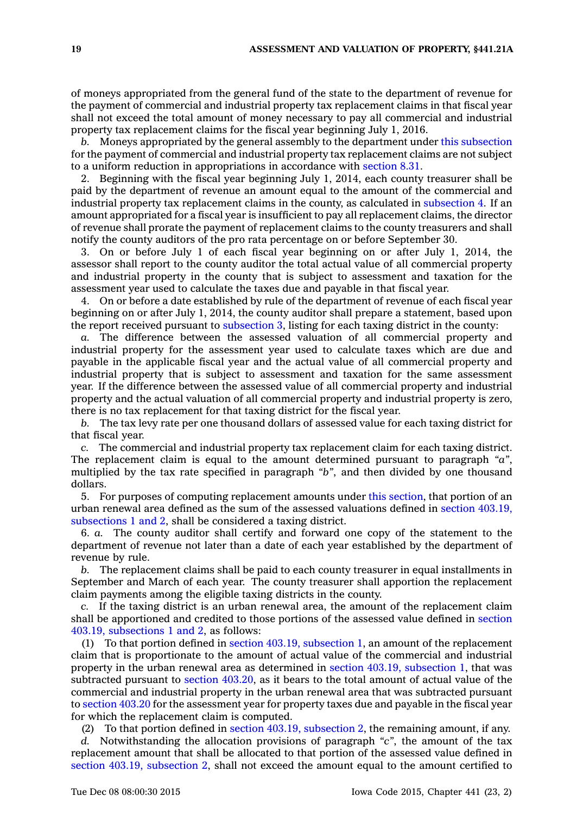of moneys appropriated from the general fund of the state to the department of revenue for the payment of commercial and industrial property tax replacement claims in that fiscal year shall not exceed the total amount of money necessary to pay all commercial and industrial property tax replacement claims for the fiscal year beginning July 1, 2016.

*b.* Moneys appropriated by the general assembly to the department under this [subsection](https://www.legis.iowa.gov/docs/code//441.21A.pdf) for the payment of commercial and industrial property tax replacement claims are not subject to <sup>a</sup> uniform reduction in appropriations in accordance with [section](https://www.legis.iowa.gov/docs/code//8.31.pdf) 8.31.

2. Beginning with the fiscal year beginning July 1, 2014, each county treasurer shall be paid by the department of revenue an amount equal to the amount of the commercial and industrial property tax replacement claims in the county, as calculated in [subsection](https://www.legis.iowa.gov/docs/code//441.21A.pdf) 4. If an amount appropriated for <sup>a</sup> fiscal year is insufficient to pay all replacement claims, the director of revenue shall prorate the payment of replacement claims to the county treasurers and shall notify the county auditors of the pro rata percentage on or before September 30.

3. On or before July 1 of each fiscal year beginning on or after July 1, 2014, the assessor shall report to the county auditor the total actual value of all commercial property and industrial property in the county that is subject to assessment and taxation for the assessment year used to calculate the taxes due and payable in that fiscal year.

4. On or before <sup>a</sup> date established by rule of the department of revenue of each fiscal year beginning on or after July 1, 2014, the county auditor shall prepare <sup>a</sup> statement, based upon the report received pursuant to [subsection](https://www.legis.iowa.gov/docs/code//441.21A.pdf) 3, listing for each taxing district in the county:

*a.* The difference between the assessed valuation of all commercial property and industrial property for the assessment year used to calculate taxes which are due and payable in the applicable fiscal year and the actual value of all commercial property and industrial property that is subject to assessment and taxation for the same assessment year. If the difference between the assessed value of all commercial property and industrial property and the actual valuation of all commercial property and industrial property is zero, there is no tax replacement for that taxing district for the fiscal year.

*b.* The tax levy rate per one thousand dollars of assessed value for each taxing district for that fiscal year.

*c.* The commercial and industrial property tax replacement claim for each taxing district. The replacement claim is equal to the amount determined pursuant to paragraph *"a"*, multiplied by the tax rate specified in paragraph *"b"*, and then divided by one thousand dollars.

5. For purposes of computing replacement amounts under this [section](https://www.legis.iowa.gov/docs/code//441.21A.pdf), that portion of an urban renewal area defined as the sum of the assessed valuations defined in section [403.19,](https://www.legis.iowa.gov/docs/code//403.19.pdf) [subsections](https://www.legis.iowa.gov/docs/code//403.19.pdf) 1 and 2, shall be considered <sup>a</sup> taxing district.

6. *a.* The county auditor shall certify and forward one copy of the statement to the department of revenue not later than <sup>a</sup> date of each year established by the department of revenue by rule.

*b.* The replacement claims shall be paid to each county treasurer in equal installments in September and March of each year. The county treasurer shall apportion the replacement claim payments among the eligible taxing districts in the county.

*c.* If the taxing district is an urban renewal area, the amount of the replacement claim shall be apportioned and credited to those portions of the assessed value defined in [section](https://www.legis.iowa.gov/docs/code//403.19.pdf) 403.19, [subsections](https://www.legis.iowa.gov/docs/code//403.19.pdf) 1 and 2, as follows:

(1) To that portion defined in section 403.19, [subsection](https://www.legis.iowa.gov/docs/code//403.19.pdf) 1, an amount of the replacement claim that is proportionate to the amount of actual value of the commercial and industrial property in the urban renewal area as determined in section 403.19, [subsection](https://www.legis.iowa.gov/docs/code//403.19.pdf) 1, that was subtracted pursuant to section [403.20](https://www.legis.iowa.gov/docs/code//403.20.pdf), as it bears to the total amount of actual value of the commercial and industrial property in the urban renewal area that was subtracted pursuant to [section](https://www.legis.iowa.gov/docs/code//403.20.pdf) 403.20 for the assessment year for property taxes due and payable in the fiscal year for which the replacement claim is computed.

(2) To that portion defined in section 403.19, [subsection](https://www.legis.iowa.gov/docs/code//403.19.pdf) 2, the remaining amount, if any.

*d.* Notwithstanding the allocation provisions of paragraph *"c"*, the amount of the tax replacement amount that shall be allocated to that portion of the assessed value defined in section 403.19, [subsection](https://www.legis.iowa.gov/docs/code//403.19.pdf) 2, shall not exceed the amount equal to the amount certified to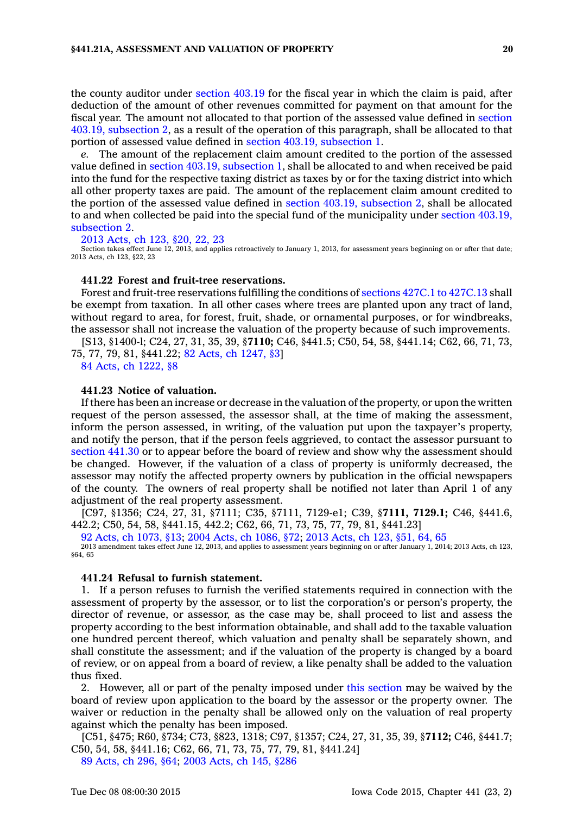the county auditor under [section](https://www.legis.iowa.gov/docs/code//403.19.pdf) 403.19 for the fiscal year in which the claim is paid, after deduction of the amount of other revenues committed for payment on that amount for the fiscal year. The amount not allocated to that portion of the assessed value defined in [section](https://www.legis.iowa.gov/docs/code//403.19.pdf) 403.19, [subsection](https://www.legis.iowa.gov/docs/code//403.19.pdf) 2, as <sup>a</sup> result of the operation of this paragraph, shall be allocated to that portion of assessed value defined in section 403.19, [subsection](https://www.legis.iowa.gov/docs/code//403.19.pdf) 1.

*e.* The amount of the replacement claim amount credited to the portion of the assessed value defined in section 403.19, [subsection](https://www.legis.iowa.gov/docs/code//403.19.pdf) 1, shall be allocated to and when received be paid into the fund for the respective taxing district as taxes by or for the taxing district into which all other property taxes are paid. The amount of the replacement claim amount credited to the portion of the assessed value defined in section 403.19, [subsection](https://www.legis.iowa.gov/docs/code//403.19.pdf) 2, shall be allocated to and when collected be paid into the special fund of the municipality under section [403.19,](https://www.legis.iowa.gov/docs/code//403.19.pdf) [subsection](https://www.legis.iowa.gov/docs/code//403.19.pdf) 2.

#### 2013 [Acts,](https://www.legis.iowa.gov/docs/acts/2013/CH0123.pdf) ch 123, §20, 22, 23

Section takes effect June 12, 2013, and applies retroactively to January 1, 2013, for assessment years beginning on or after that date; 2013 Acts, ch 123, §22, 23

#### **441.22 Forest and fruit-tree reservations.**

Forest and fruit-tree reservations fulfilling the conditions of [sections](https://www.legis.iowa.gov/docs/code//427C.1.pdf) 427C.1 to 427C.13 shall be exempt from taxation. In all other cases where trees are planted upon any tract of land, without regard to area, for forest, fruit, shade, or ornamental purposes, or for windbreaks, the assessor shall not increase the valuation of the property because of such improvements.

[S13, §1400-l; C24, 27, 31, 35, 39, §**7110;** C46, §441.5; C50, 54, 58, §441.14; C62, 66, 71, 73, 75, 77, 79, 81, §441.22; 82 Acts, ch [1247,](https://www.legis.iowa.gov/docs/acts/1982/CH1247.pdf) §3]

84 Acts, ch [1222,](https://www.legis.iowa.gov/docs/acts/1984/CH1222.pdf) §8

#### **441.23 Notice of valuation.**

If there has been an increase or decrease in the valuation of the property, or upon the written request of the person assessed, the assessor shall, at the time of making the assessment, inform the person assessed, in writing, of the valuation put upon the taxpayer's property, and notify the person, that if the person feels aggrieved, to contact the assessor pursuant to [section](https://www.legis.iowa.gov/docs/code//441.30.pdf) 441.30 or to appear before the board of review and show why the assessment should be changed. However, if the valuation of <sup>a</sup> class of property is uniformly decreased, the assessor may notify the affected property owners by publication in the official newspapers of the county. The owners of real property shall be notified not later than April 1 of any adjustment of the real property assessment.

[C97, §1356; C24, 27, 31, §7111; C35, §7111, 7129-e1; C39, §**7111, 7129.1;** C46, §441.6, 442.2; C50, 54, 58, §441.15, 442.2; C62, 66, 71, 73, 75, 77, 79, 81, §441.23]

92 Acts, ch [1073,](https://www.legis.iowa.gov/docs/acts/92/CH1073.pdf) §13; 2004 Acts, ch [1086,](https://www.legis.iowa.gov/docs/acts/2004/CH1086.pdf) §72; 2013 [Acts,](https://www.legis.iowa.gov/docs/acts/2013/CH0123.pdf) ch 123, §51, 64, 65

2013 amendment takes effect June 12, 2013, and applies to assessment years beginning on or after January 1, 2014; 2013 Acts, ch 123, §64, 65

## **441.24 Refusal to furnish statement.**

1. If <sup>a</sup> person refuses to furnish the verified statements required in connection with the assessment of property by the assessor, or to list the corporation's or person's property, the director of revenue, or assessor, as the case may be, shall proceed to list and assess the property according to the best information obtainable, and shall add to the taxable valuation one hundred percent thereof, which valuation and penalty shall be separately shown, and shall constitute the assessment; and if the valuation of the property is changed by <sup>a</sup> board of review, or on appeal from <sup>a</sup> board of review, <sup>a</sup> like penalty shall be added to the valuation thus fixed.

2. However, all or part of the penalty imposed under this [section](https://www.legis.iowa.gov/docs/code//441.24.pdf) may be waived by the board of review upon application to the board by the assessor or the property owner. The waiver or reduction in the penalty shall be allowed only on the valuation of real property against which the penalty has been imposed.

[C51, §475; R60, §734; C73, §823, 1318; C97, §1357; C24, 27, 31, 35, 39, §**7112;** C46, §441.7; C50, 54, 58, §441.16; C62, 66, 71, 73, 75, 77, 79, 81, §441.24]

89 [Acts,](https://www.legis.iowa.gov/docs/acts/1989/CH0296.pdf) ch 296, §64; 2003 [Acts,](https://www.legis.iowa.gov/docs/acts/2003/CH0145.pdf) ch 145, §286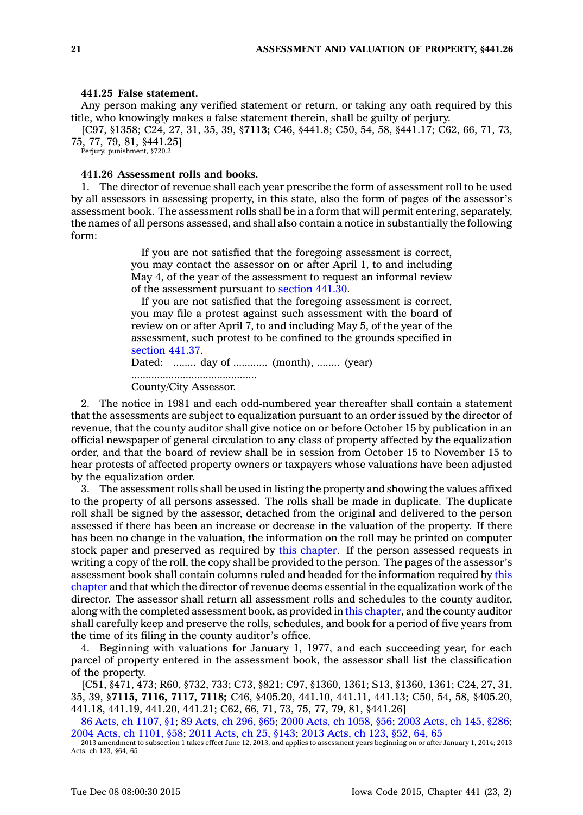#### **441.25 False statement.**

Any person making any verified statement or return, or taking any oath required by this title, who knowingly makes <sup>a</sup> false statement therein, shall be guilty of perjury.

[C97, §1358; C24, 27, 31, 35, 39, §**7113;** C46, §441.8; C50, 54, 58, §441.17; C62, 66, 71, 73, 75, 77, 79, 81, §441.25]

Perjury, punishment, §720.2

## **441.26 Assessment rolls and books.**

1. The director of revenue shall each year prescribe the form of assessment roll to be used by all assessors in assessing property, in this state, also the form of pages of the assessor's assessment book. The assessment rolls shall be in <sup>a</sup> form that will permit entering, separately, the names of all persons assessed, and shall also contain <sup>a</sup> notice in substantially the following form:

> If you are not satisfied that the foregoing assessment is correct, you may contact the assessor on or after April 1, to and including May 4, of the year of the assessment to request an informal review of the assessment pursuant to [section](https://www.legis.iowa.gov/docs/code//441.30.pdf) 441.30.

> If you are not satisfied that the foregoing assessment is correct, you may file <sup>a</sup> protest against such assessment with the board of review on or after April 7, to and including May 5, of the year of the assessment, such protest to be confined to the grounds specified in [section](https://www.legis.iowa.gov/docs/code//441.37.pdf) 441.37.

Dated: ........ day of ............ (month), ........ (year) ............................................ County/City Assessor.

2. The notice in 1981 and each odd-numbered year thereafter shall contain <sup>a</sup> statement that the assessments are subject to equalization pursuant to an order issued by the director of revenue, that the county auditor shall give notice on or before October 15 by publication in an official newspaper of general circulation to any class of property affected by the equalization order, and that the board of review shall be in session from October 15 to November 15 to hear protests of affected property owners or taxpayers whose valuations have been adjusted by the equalization order.

3. The assessment rolls shall be used in listing the property and showing the values affixed to the property of all persons assessed. The rolls shall be made in duplicate. The duplicate roll shall be signed by the assessor, detached from the original and delivered to the person assessed if there has been an increase or decrease in the valuation of the property. If there has been no change in the valuation, the information on the roll may be printed on computer stock paper and preserved as required by this [chapter](https://www.legis.iowa.gov/docs/code//441.pdf). If the person assessed requests in writing <sup>a</sup> copy of the roll, the copy shall be provided to the person. The pages of the assessor's assessment book shall contain columns ruled and headed for the information required by [this](https://www.legis.iowa.gov/docs/code//441.pdf) [chapter](https://www.legis.iowa.gov/docs/code//441.pdf) and that which the director of revenue deems essential in the equalization work of the director. The assessor shall return all assessment rolls and schedules to the county auditor, along with the completed assessment book, as provided in this [chapter](https://www.legis.iowa.gov/docs/code//441.pdf), and the county auditor shall carefully keep and preserve the rolls, schedules, and book for <sup>a</sup> period of five years from the time of its filing in the county auditor's office.

4. Beginning with valuations for January 1, 1977, and each succeeding year, for each parcel of property entered in the assessment book, the assessor shall list the classification of the property.

[C51, §471, 473; R60, §732, 733; C73, §821; C97, §1360, 1361; S13, §1360, 1361; C24, 27, 31, 35, 39, §**7115, 7116, 7117, 7118;** C46, §405.20, 441.10, 441.11, 441.13; C50, 54, 58, §405.20, 441.18, 441.19, 441.20, 441.21; C62, 66, 71, 73, 75, 77, 79, 81, §441.26]

86 Acts, ch [1107,](https://www.legis.iowa.gov/docs/acts/86/CH1107.pdf) §1; 89 [Acts,](https://www.legis.iowa.gov/docs/acts/89/CH0296.pdf) ch 296, §65; 2000 Acts, ch [1058,](https://www.legis.iowa.gov/docs/acts/2000/CH1058.pdf) §56; 2003 [Acts,](https://www.legis.iowa.gov/docs/acts/2003/CH0145.pdf) ch 145, §286; 2004 Acts, ch [1101,](https://www.legis.iowa.gov/docs/acts/2004/CH1101.pdf) §58; 2011 [Acts,](https://www.legis.iowa.gov/docs/acts/2011/CH0025.pdf) ch 25, §143; 2013 [Acts,](https://www.legis.iowa.gov/docs/acts/2013/CH0123.pdf) ch 123, §52, 64, 65

2013 amendment to subsection 1 takes effect June 12, 2013, and applies to assessment years beginning on or after January 1, 2014; 2013 Acts, ch 123, §64, 65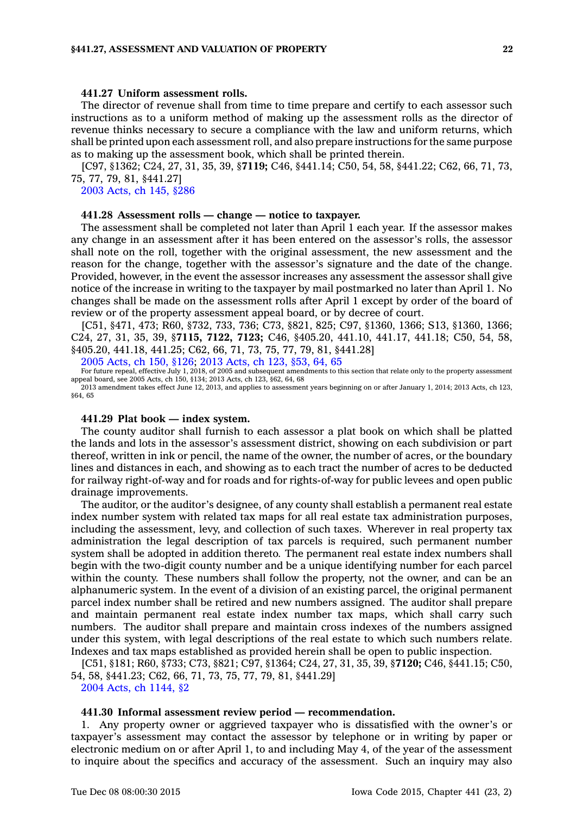## **441.27 Uniform assessment rolls.**

The director of revenue shall from time to time prepare and certify to each assessor such instructions as to <sup>a</sup> uniform method of making up the assessment rolls as the director of revenue thinks necessary to secure <sup>a</sup> compliance with the law and uniform returns, which shall be printed upon each assessment roll, and also prepare instructions for the same purpose as to making up the assessment book, which shall be printed therein.

[C97, §1362; C24, 27, 31, 35, 39, §**7119;** C46, §441.14; C50, 54, 58, §441.22; C62, 66, 71, 73, 75, 77, 79, 81, §441.27]

2003 [Acts,](https://www.legis.iowa.gov/docs/acts/2003/CH0145.pdf) ch 145, §286

## **441.28 Assessment rolls — change — notice to taxpayer.**

The assessment shall be completed not later than April 1 each year. If the assessor makes any change in an assessment after it has been entered on the assessor's rolls, the assessor shall note on the roll, together with the original assessment, the new assessment and the reason for the change, together with the assessor's signature and the date of the change. Provided, however, in the event the assessor increases any assessment the assessor shall give notice of the increase in writing to the taxpayer by mail postmarked no later than April 1. No changes shall be made on the assessment rolls after April 1 except by order of the board of review or of the property assessment appeal board, or by decree of court.

[C51, §471, 473; R60, §732, 733, 736; C73, §821, 825; C97, §1360, 1366; S13, §1360, 1366; C24, 27, 31, 35, 39, §**7115, 7122, 7123;** C46, §405.20, 441.10, 441.17, 441.18; C50, 54, 58, §405.20, 441.18, 441.25; C62, 66, 71, 73, 75, 77, 79, 81, §441.28]

2005 [Acts,](https://www.legis.iowa.gov/docs/acts/2005/CH0150.pdf) ch 150, §126; 2013 [Acts,](https://www.legis.iowa.gov/docs/acts/2013/CH0123.pdf) ch 123, §53, 64, 65

For future repeal, effective July 1, 2018, of 2005 and subsequent amendments to this section that relate only to the property assessment appeal board, see 2005 Acts, ch 150, §134; 2013 Acts, ch 123, §62, 64, 68

2013 amendment takes effect June 12, 2013, and applies to assessment years beginning on or after January 1, 2014; 2013 Acts, ch 123, §64, 65

## **441.29 Plat book — index system.**

The county auditor shall furnish to each assessor <sup>a</sup> plat book on which shall be platted the lands and lots in the assessor's assessment district, showing on each subdivision or part thereof, written in ink or pencil, the name of the owner, the number of acres, or the boundary lines and distances in each, and showing as to each tract the number of acres to be deducted for railway right-of-way and for roads and for rights-of-way for public levees and open public drainage improvements.

The auditor, or the auditor's designee, of any county shall establish <sup>a</sup> permanent real estate index number system with related tax maps for all real estate tax administration purposes, including the assessment, levy, and collection of such taxes. Wherever in real property tax administration the legal description of tax parcels is required, such permanent number system shall be adopted in addition thereto. The permanent real estate index numbers shall begin with the two-digit county number and be <sup>a</sup> unique identifying number for each parcel within the county. These numbers shall follow the property, not the owner, and can be an alphanumeric system. In the event of <sup>a</sup> division of an existing parcel, the original permanent parcel index number shall be retired and new numbers assigned. The auditor shall prepare and maintain permanent real estate index number tax maps, which shall carry such numbers. The auditor shall prepare and maintain cross indexes of the numbers assigned under this system, with legal descriptions of the real estate to which such numbers relate. Indexes and tax maps established as provided herein shall be open to public inspection.

[C51, §181; R60, §733; C73, §821; C97, §1364; C24, 27, 31, 35, 39, §**7120;** C46, §441.15; C50, 54, 58, §441.23; C62, 66, 71, 73, 75, 77, 79, 81, §441.29]

2004 Acts, ch [1144,](https://www.legis.iowa.gov/docs/acts/2004/CH1144.pdf) §2

#### **441.30 Informal assessment review period — recommendation.**

1. Any property owner or aggrieved taxpayer who is dissatisfied with the owner's or taxpayer's assessment may contact the assessor by telephone or in writing by paper or electronic medium on or after April 1, to and including May 4, of the year of the assessment to inquire about the specifics and accuracy of the assessment. Such an inquiry may also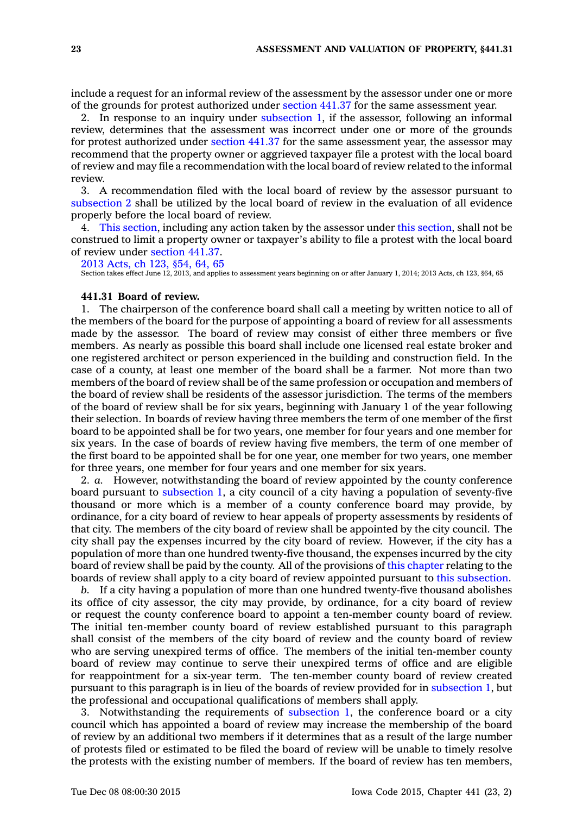include <sup>a</sup> request for an informal review of the assessment by the assessor under one or more of the grounds for protest authorized under [section](https://www.legis.iowa.gov/docs/code//441.37.pdf) 441.37 for the same assessment year.

2. In response to an inquiry under [subsection](https://www.legis.iowa.gov/docs/code//441.30.pdf) 1, if the assessor, following an informal review, determines that the assessment was incorrect under one or more of the grounds for protest authorized under [section](https://www.legis.iowa.gov/docs/code//441.37.pdf) 441.37 for the same assessment year, the assessor may recommend that the property owner or aggrieved taxpayer file <sup>a</sup> protest with the local board of review and may file <sup>a</sup> recommendation with the local board of review related to the informal review.

3. A recommendation filed with the local board of review by the assessor pursuant to [subsection](https://www.legis.iowa.gov/docs/code//441.30.pdf) 2 shall be utilized by the local board of review in the evaluation of all evidence properly before the local board of review.

4. This [section](https://www.legis.iowa.gov/docs/code//441.30.pdf), including any action taken by the assessor under this [section](https://www.legis.iowa.gov/docs/code//441.30.pdf), shall not be construed to limit <sup>a</sup> property owner or taxpayer's ability to file <sup>a</sup> protest with the local board of review under [section](https://www.legis.iowa.gov/docs/code//441.37.pdf) 441.37.

2013 [Acts,](https://www.legis.iowa.gov/docs/acts/2013/CH0123.pdf) ch 123, §54, 64, 65

Section takes effect June 12, 2013, and applies to assessment years beginning on or after January 1, 2014; 2013 Acts, ch 123, §64, 65

#### **441.31 Board of review.**

1. The chairperson of the conference board shall call <sup>a</sup> meeting by written notice to all of the members of the board for the purpose of appointing <sup>a</sup> board of review for all assessments made by the assessor. The board of review may consist of either three members or five members. As nearly as possible this board shall include one licensed real estate broker and one registered architect or person experienced in the building and construction field. In the case of <sup>a</sup> county, at least one member of the board shall be <sup>a</sup> farmer. Not more than two members of the board of review shall be of the same profession or occupation and members of the board of review shall be residents of the assessor jurisdiction. The terms of the members of the board of review shall be for six years, beginning with January 1 of the year following their selection. In boards of review having three members the term of one member of the first board to be appointed shall be for two years, one member for four years and one member for six years. In the case of boards of review having five members, the term of one member of the first board to be appointed shall be for one year, one member for two years, one member for three years, one member for four years and one member for six years.

2. *a.* However, notwithstanding the board of review appointed by the county conference board pursuant to [subsection](https://www.legis.iowa.gov/docs/code//441.31.pdf) 1, <sup>a</sup> city council of <sup>a</sup> city having <sup>a</sup> population of seventy-five thousand or more which is <sup>a</sup> member of <sup>a</sup> county conference board may provide, by ordinance, for <sup>a</sup> city board of review to hear appeals of property assessments by residents of that city. The members of the city board of review shall be appointed by the city council. The city shall pay the expenses incurred by the city board of review. However, if the city has <sup>a</sup> population of more than one hundred twenty-five thousand, the expenses incurred by the city board of review shall be paid by the county. All of the provisions of this [chapter](https://www.legis.iowa.gov/docs/code//441.pdf) relating to the boards of review shall apply to <sup>a</sup> city board of review appointed pursuant to this [subsection](https://www.legis.iowa.gov/docs/code//441.31.pdf).

*b.* If <sup>a</sup> city having <sup>a</sup> population of more than one hundred twenty-five thousand abolishes its office of city assessor, the city may provide, by ordinance, for <sup>a</sup> city board of review or request the county conference board to appoint <sup>a</sup> ten-member county board of review. The initial ten-member county board of review established pursuant to this paragraph shall consist of the members of the city board of review and the county board of review who are serving unexpired terms of office. The members of the initial ten-member county board of review may continue to serve their unexpired terms of office and are eligible for reappointment for <sup>a</sup> six-year term. The ten-member county board of review created pursuant to this paragraph is in lieu of the boards of review provided for in [subsection](https://www.legis.iowa.gov/docs/code//441.31.pdf) 1, but the professional and occupational qualifications of members shall apply.

3. Notwithstanding the requirements of [subsection](https://www.legis.iowa.gov/docs/code//441.31.pdf) 1, the conference board or <sup>a</sup> city council which has appointed <sup>a</sup> board of review may increase the membership of the board of review by an additional two members if it determines that as <sup>a</sup> result of the large number of protests filed or estimated to be filed the board of review will be unable to timely resolve the protests with the existing number of members. If the board of review has ten members,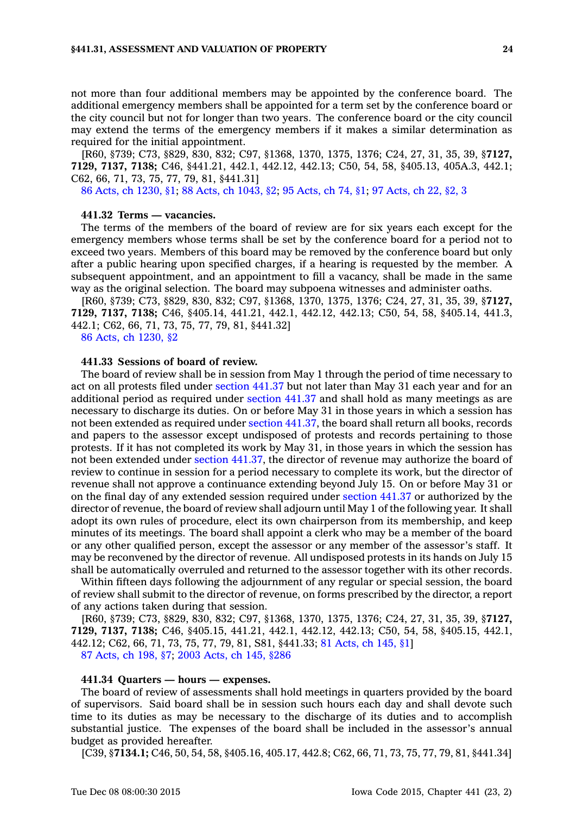not more than four additional members may be appointed by the conference board. The additional emergency members shall be appointed for <sup>a</sup> term set by the conference board or the city council but not for longer than two years. The conference board or the city council may extend the terms of the emergency members if it makes <sup>a</sup> similar determination as required for the initial appointment.

[R60, §739; C73, §829, 830, 832; C97, §1368, 1370, 1375, 1376; C24, 27, 31, 35, 39, §**7127, 7129, 7137, 7138;** C46, §441.21, 442.1, 442.12, 442.13; C50, 54, 58, §405.13, 405A.3, 442.1; C62, 66, 71, 73, 75, 77, 79, 81, §441.31]

86 Acts, ch [1230,](https://www.legis.iowa.gov/docs/acts/1986/CH1230.pdf) §1; 88 Acts, ch [1043,](https://www.legis.iowa.gov/docs/acts/1988/CH1043.pdf) §2; 95 [Acts,](https://www.legis.iowa.gov/docs/acts/1995/CH0074.pdf) ch 74, §1; 97 [Acts,](https://www.legis.iowa.gov/docs/acts/1997/CH0022.pdf) ch 22, §2, 3

#### **441.32 Terms — vacancies.**

The terms of the members of the board of review are for six years each except for the emergency members whose terms shall be set by the conference board for <sup>a</sup> period not to exceed two years. Members of this board may be removed by the conference board but only after <sup>a</sup> public hearing upon specified charges, if <sup>a</sup> hearing is requested by the member. A subsequent appointment, and an appointment to fill <sup>a</sup> vacancy, shall be made in the same way as the original selection. The board may subpoena witnesses and administer oaths.

[R60, §739; C73, §829, 830, 832; C97, §1368, 1370, 1375, 1376; C24, 27, 31, 35, 39, §**7127, 7129, 7137, 7138;** C46, §405.14, 441.21, 442.1, 442.12, 442.13; C50, 54, 58, §405.14, 441.3, 442.1; C62, 66, 71, 73, 75, 77, 79, 81, §441.32]

86 Acts, ch [1230,](https://www.legis.iowa.gov/docs/acts/1986/CH1230.pdf) §2

## **441.33 Sessions of board of review.**

The board of review shall be in session from May 1 through the period of time necessary to act on all protests filed under [section](https://www.legis.iowa.gov/docs/code//441.37.pdf) 441.37 but not later than May 31 each year and for an additional period as required under [section](https://www.legis.iowa.gov/docs/code//441.37.pdf) 441.37 and shall hold as many meetings as are necessary to discharge its duties. On or before May 31 in those years in which <sup>a</sup> session has not been extended as required under section [441.37](https://www.legis.iowa.gov/docs/code//441.37.pdf), the board shall return all books, records and papers to the assessor except undisposed of protests and records pertaining to those protests. If it has not completed its work by May 31, in those years in which the session has not been extended under section [441.37](https://www.legis.iowa.gov/docs/code//441.37.pdf), the director of revenue may authorize the board of review to continue in session for <sup>a</sup> period necessary to complete its work, but the director of revenue shall not approve <sup>a</sup> continuance extending beyond July 15. On or before May 31 or on the final day of any extended session required under [section](https://www.legis.iowa.gov/docs/code//441.37.pdf) 441.37 or authorized by the director of revenue, the board of review shall adjourn until May 1 of the following year. It shall adopt its own rules of procedure, elect its own chairperson from its membership, and keep minutes of its meetings. The board shall appoint <sup>a</sup> clerk who may be <sup>a</sup> member of the board or any other qualified person, except the assessor or any member of the assessor's staff. It may be reconvened by the director of revenue. All undisposed protests in its hands on July 15 shall be automatically overruled and returned to the assessor together with its other records.

Within fifteen days following the adjournment of any regular or special session, the board of review shall submit to the director of revenue, on forms prescribed by the director, <sup>a</sup> report of any actions taken during that session.

[R60, §739; C73, §829, 830, 832; C97, §1368, 1370, 1375, 1376; C24, 27, 31, 35, 39, §**7127, 7129, 7137, 7138;** C46, §405.15, 441.21, 442.1, 442.12, 442.13; C50, 54, 58, §405.15, 442.1, 442.12; C62, 66, 71, 73, 75, 77, 79, 81, S81, §441.33; 81 [Acts,](https://www.legis.iowa.gov/docs/acts/1981/CH0145.pdf) ch 145, §1] 87 [Acts,](https://www.legis.iowa.gov/docs/acts/1987/CH0198.pdf) ch 198, §7; 2003 [Acts,](https://www.legis.iowa.gov/docs/acts/2003/CH0145.pdf) ch 145, §286

#### **441.34 Quarters — hours — expenses.**

The board of review of assessments shall hold meetings in quarters provided by the board of supervisors. Said board shall be in session such hours each day and shall devote such time to its duties as may be necessary to the discharge of its duties and to accomplish substantial justice. The expenses of the board shall be included in the assessor's annual budget as provided hereafter.

[C39, §**7134.1;** C46, 50, 54, 58, §405.16, 405.17, 442.8; C62, 66, 71, 73, 75, 77, 79, 81, §441.34]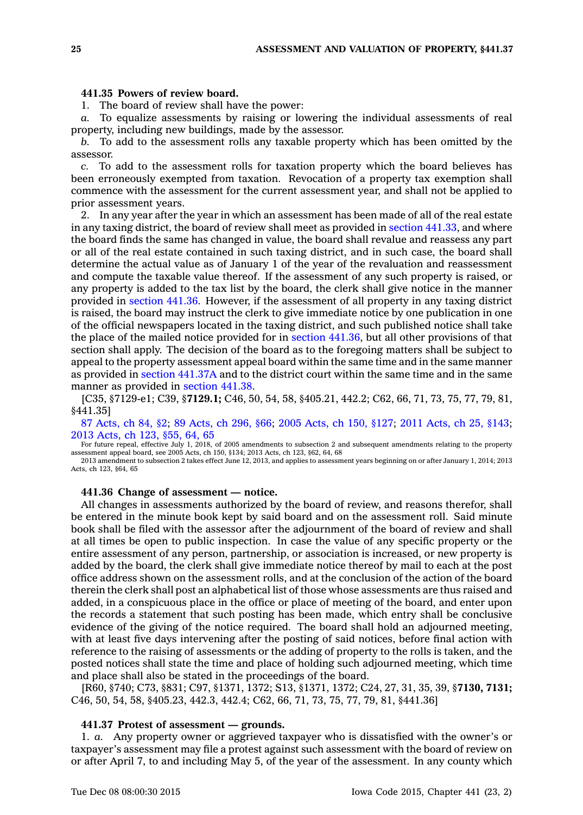## **441.35 Powers of review board.**

1. The board of review shall have the power:

*a.* To equalize assessments by raising or lowering the individual assessments of real property, including new buildings, made by the assessor.

*b.* To add to the assessment rolls any taxable property which has been omitted by the assessor.

*c.* To add to the assessment rolls for taxation property which the board believes has been erroneously exempted from taxation. Revocation of <sup>a</sup> property tax exemption shall commence with the assessment for the current assessment year, and shall not be applied to prior assessment years.

2. In any year after the year in which an assessment has been made of all of the real estate in any taxing district, the board of review shall meet as provided in section [441.33](https://www.legis.iowa.gov/docs/code//441.33.pdf), and where the board finds the same has changed in value, the board shall revalue and reassess any part or all of the real estate contained in such taxing district, and in such case, the board shall determine the actual value as of January 1 of the year of the revaluation and reassessment and compute the taxable value thereof. If the assessment of any such property is raised, or any property is added to the tax list by the board, the clerk shall give notice in the manner provided in [section](https://www.legis.iowa.gov/docs/code//441.36.pdf) 441.36. However, if the assessment of all property in any taxing district is raised, the board may instruct the clerk to give immediate notice by one publication in one of the official newspapers located in the taxing district, and such published notice shall take the place of the mailed notice provided for in section [441.36](https://www.legis.iowa.gov/docs/code//441.36.pdf), but all other provisions of that section shall apply. The decision of the board as to the foregoing matters shall be subject to appeal to the property assessment appeal board within the same time and in the same manner as provided in section [441.37A](https://www.legis.iowa.gov/docs/code//441.37A.pdf) and to the district court within the same time and in the same manner as provided in [section](https://www.legis.iowa.gov/docs/code//441.38.pdf) 441.38.

[C35, §7129-e1; C39, §**7129.1;** C46, 50, 54, 58, §405.21, 442.2; C62, 66, 71, 73, 75, 77, 79, 81, §441.35]

87 [Acts,](https://www.legis.iowa.gov/docs/acts/87/CH0084.pdf) ch 84, §2; 89 [Acts,](https://www.legis.iowa.gov/docs/acts/89/CH0296.pdf) ch 296, §66; 2005 [Acts,](https://www.legis.iowa.gov/docs/acts/2005/CH0150.pdf) ch 150, §127; 2011 [Acts,](https://www.legis.iowa.gov/docs/acts/2011/CH0025.pdf) ch 25, §143; 2013 [Acts,](https://www.legis.iowa.gov/docs/acts/2013/CH0123.pdf) ch 123, §55, 64, 65

For future repeal, effective July 1, 2018, of 2005 amendments to subsection 2 and subsequent amendments relating to the property assessment appeal board, see 2005 Acts, ch 150, §134; 2013 Acts, ch 123, §62, 64, 68

2013 amendment to subsection 2 takes effect June 12, 2013, and applies to assessment years beginning on or after January 1, 2014; 2013 Acts, ch 123, §64, 65

**441.36 Change of assessment — notice.**

All changes in assessments authorized by the board of review, and reasons therefor, shall be entered in the minute book kept by said board and on the assessment roll. Said minute book shall be filed with the assessor after the adjournment of the board of review and shall at all times be open to public inspection. In case the value of any specific property or the entire assessment of any person, partnership, or association is increased, or new property is added by the board, the clerk shall give immediate notice thereof by mail to each at the post office address shown on the assessment rolls, and at the conclusion of the action of the board therein the clerk shall post an alphabetical list of those whose assessments are thus raised and added, in <sup>a</sup> conspicuous place in the office or place of meeting of the board, and enter upon the records <sup>a</sup> statement that such posting has been made, which entry shall be conclusive evidence of the giving of the notice required. The board shall hold an adjourned meeting, with at least five days intervening after the posting of said notices, before final action with reference to the raising of assessments or the adding of property to the rolls is taken, and the posted notices shall state the time and place of holding such adjourned meeting, which time and place shall also be stated in the proceedings of the board.

[R60, §740; C73, §831; C97, §1371, 1372; S13, §1371, 1372; C24, 27, 31, 35, 39, §**7130, 7131;** C46, 50, 54, 58, §405.23, 442.3, 442.4; C62, 66, 71, 73, 75, 77, 79, 81, §441.36]

### **441.37 Protest of assessment —grounds.**

1. *a.* Any property owner or aggrieved taxpayer who is dissatisfied with the owner's or taxpayer's assessment may file <sup>a</sup> protest against such assessment with the board of review on or after April 7, to and including May 5, of the year of the assessment. In any county which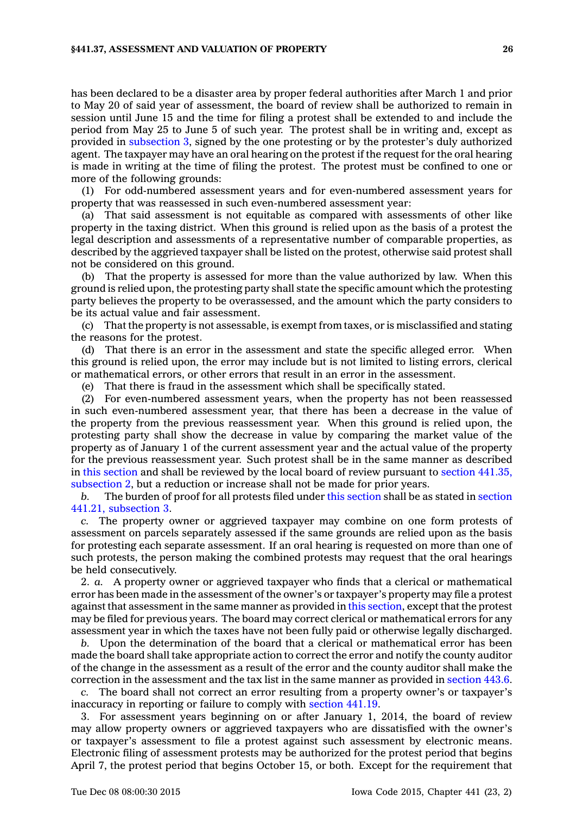has been declared to be <sup>a</sup> disaster area by proper federal authorities after March 1 and prior to May 20 of said year of assessment, the board of review shall be authorized to remain in session until June 15 and the time for filing <sup>a</sup> protest shall be extended to and include the period from May 25 to June 5 of such year. The protest shall be in writing and, except as provided in [subsection](https://www.legis.iowa.gov/docs/code//441.37.pdf) 3, signed by the one protesting or by the protester's duly authorized agent. The taxpayer may have an oral hearing on the protest if the request for the oral hearing is made in writing at the time of filing the protest. The protest must be confined to one or more of the following grounds:

(1) For odd-numbered assessment years and for even-numbered assessment years for property that was reassessed in such even-numbered assessment year:

(a) That said assessment is not equitable as compared with assessments of other like property in the taxing district. When this ground is relied upon as the basis of <sup>a</sup> protest the legal description and assessments of <sup>a</sup> representative number of comparable properties, as described by the aggrieved taxpayer shall be listed on the protest, otherwise said protest shall not be considered on this ground.

(b) That the property is assessed for more than the value authorized by law. When this ground is relied upon, the protesting party shall state the specific amount which the protesting party believes the property to be overassessed, and the amount which the party considers to be its actual value and fair assessment.

(c) That the property is not assessable, is exempt from taxes, or is misclassified and stating the reasons for the protest.

(d) That there is an error in the assessment and state the specific alleged error. When this ground is relied upon, the error may include but is not limited to listing errors, clerical or mathematical errors, or other errors that result in an error in the assessment.

(e) That there is fraud in the assessment which shall be specifically stated.

(2) For even-numbered assessment years, when the property has not been reassessed in such even-numbered assessment year, that there has been <sup>a</sup> decrease in the value of the property from the previous reassessment year. When this ground is relied upon, the protesting party shall show the decrease in value by comparing the market value of the property as of January 1 of the current assessment year and the actual value of the property for the previous reassessment year. Such protest shall be in the same manner as described in this [section](https://www.legis.iowa.gov/docs/code//441.37.pdf) and shall be reviewed by the local board of review pursuant to section [441.35,](https://www.legis.iowa.gov/docs/code//441.35.pdf) [subsection](https://www.legis.iowa.gov/docs/code//441.35.pdf) 2, but <sup>a</sup> reduction or increase shall not be made for prior years.

*b.* The burden of proof for all protests filed under this [section](https://www.legis.iowa.gov/docs/code//441.37.pdf) shall be as stated in [section](https://www.legis.iowa.gov/docs/code//441.21.pdf) 441.21, [subsection](https://www.legis.iowa.gov/docs/code//441.21.pdf) 3.

*c.* The property owner or aggrieved taxpayer may combine on one form protests of assessment on parcels separately assessed if the same grounds are relied upon as the basis for protesting each separate assessment. If an oral hearing is requested on more than one of such protests, the person making the combined protests may request that the oral hearings be held consecutively.

2. *a.* A property owner or aggrieved taxpayer who finds that <sup>a</sup> clerical or mathematical error has been made in the assessment of the owner's or taxpayer's property may file <sup>a</sup> protest against that assessment in the same manner as provided in this [section](https://www.legis.iowa.gov/docs/code//441.37.pdf), except that the protest may be filed for previous years. The board may correct clerical or mathematical errors for any assessment year in which the taxes have not been fully paid or otherwise legally discharged.

*b.* Upon the determination of the board that <sup>a</sup> clerical or mathematical error has been made the board shall take appropriate action to correct the error and notify the county auditor of the change in the assessment as <sup>a</sup> result of the error and the county auditor shall make the correction in the assessment and the tax list in the same manner as provided in [section](https://www.legis.iowa.gov/docs/code//443.6.pdf) 443.6.

*c.* The board shall not correct an error resulting from <sup>a</sup> property owner's or taxpayer's inaccuracy in reporting or failure to comply with [section](https://www.legis.iowa.gov/docs/code//441.19.pdf) 441.19.

3. For assessment years beginning on or after January 1, 2014, the board of review may allow property owners or aggrieved taxpayers who are dissatisfied with the owner's or taxpayer's assessment to file <sup>a</sup> protest against such assessment by electronic means. Electronic filing of assessment protests may be authorized for the protest period that begins April 7, the protest period that begins October 15, or both. Except for the requirement that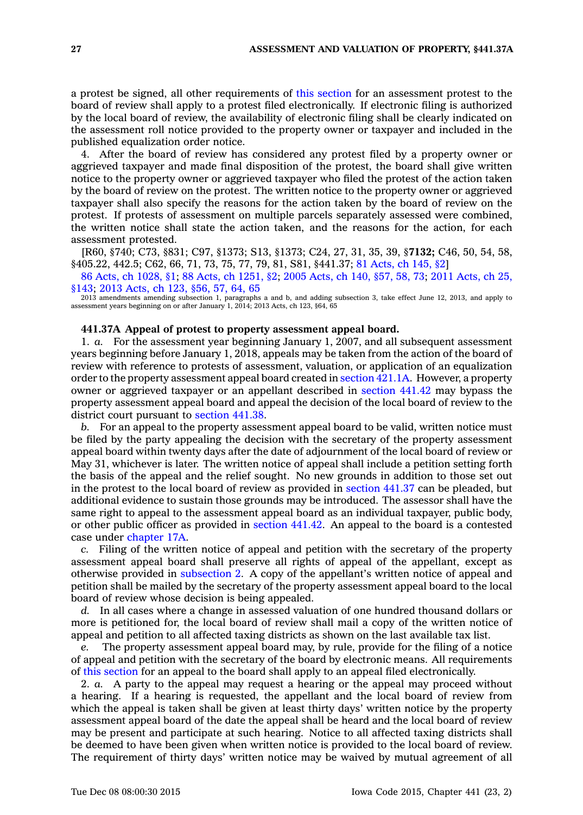<sup>a</sup> protest be signed, all other requirements of this [section](https://www.legis.iowa.gov/docs/code//441.37.pdf) for an assessment protest to the board of review shall apply to <sup>a</sup> protest filed electronically. If electronic filing is authorized by the local board of review, the availability of electronic filing shall be clearly indicated on the assessment roll notice provided to the property owner or taxpayer and included in the published equalization order notice.

4. After the board of review has considered any protest filed by <sup>a</sup> property owner or aggrieved taxpayer and made final disposition of the protest, the board shall give written notice to the property owner or aggrieved taxpayer who filed the protest of the action taken by the board of review on the protest. The written notice to the property owner or aggrieved taxpayer shall also specify the reasons for the action taken by the board of review on the protest. If protests of assessment on multiple parcels separately assessed were combined, the written notice shall state the action taken, and the reasons for the action, for each assessment protested.

[R60, §740; C73, §831; C97, §1373; S13, §1373; C24, 27, 31, 35, 39, §**7132;** C46, 50, 54, 58, §405.22, 442.5; C62, 66, 71, 73, 75, 77, 79, 81, S81, §441.37; 81 [Acts,](https://www.legis.iowa.gov/docs/acts/1981/CH0145.pdf) ch 145, §2]

86 Acts, ch [1028,](https://www.legis.iowa.gov/docs/acts/86/CH1028.pdf) §1; 88 Acts, ch [1251,](https://www.legis.iowa.gov/docs/acts/88/CH1251.pdf) §2; 2005 [Acts,](https://www.legis.iowa.gov/docs/acts/2005/CH0140.pdf) ch 140, §57, 58, 73; 2011 [Acts,](https://www.legis.iowa.gov/docs/acts/2011/CH0025.pdf) ch 25, [§143](https://www.legis.iowa.gov/docs/acts/2011/CH0025.pdf); 2013 [Acts,](https://www.legis.iowa.gov/docs/acts/2013/CH0123.pdf) ch 123, §56, 57, 64, 65

2013 amendments amending subsection 1, paragraphs <sup>a</sup> and b, and adding subsection 3, take effect June 12, 2013, and apply to assessment years beginning on or after January 1, 2014; 2013 Acts, ch 123, §64, 65

### **441.37A Appeal of protest to property assessment appeal board.**

1. *a.* For the assessment year beginning January 1, 2007, and all subsequent assessment years beginning before January 1, 2018, appeals may be taken from the action of the board of review with reference to protests of assessment, valuation, or application of an equalization order to the property assessment appeal board created in [section](https://www.legis.iowa.gov/docs/code//421.1A.pdf) 421.1A. However, <sup>a</sup> property owner or aggrieved taxpayer or an appellant described in [section](https://www.legis.iowa.gov/docs/code//441.42.pdf) 441.42 may bypass the property assessment appeal board and appeal the decision of the local board of review to the district court pursuant to [section](https://www.legis.iowa.gov/docs/code//441.38.pdf) 441.38.

*b.* For an appeal to the property assessment appeal board to be valid, written notice must be filed by the party appealing the decision with the secretary of the property assessment appeal board within twenty days after the date of adjournment of the local board of review or May 31, whichever is later. The written notice of appeal shall include <sup>a</sup> petition setting forth the basis of the appeal and the relief sought. No new grounds in addition to those set out in the protest to the local board of review as provided in [section](https://www.legis.iowa.gov/docs/code//441.37.pdf) 441.37 can be pleaded, but additional evidence to sustain those grounds may be introduced. The assessor shall have the same right to appeal to the assessment appeal board as an individual taxpayer, public body, or other public officer as provided in [section](https://www.legis.iowa.gov/docs/code//441.42.pdf) 441.42. An appeal to the board is <sup>a</sup> contested case under [chapter](https://www.legis.iowa.gov/docs/code//17A.pdf) 17A.

*c.* Filing of the written notice of appeal and petition with the secretary of the property assessment appeal board shall preserve all rights of appeal of the appellant, except as otherwise provided in [subsection](https://www.legis.iowa.gov/docs/code//441.37A.pdf) 2. A copy of the appellant's written notice of appeal and petition shall be mailed by the secretary of the property assessment appeal board to the local board of review whose decision is being appealed.

*d.* In all cases where <sup>a</sup> change in assessed valuation of one hundred thousand dollars or more is petitioned for, the local board of review shall mail <sup>a</sup> copy of the written notice of appeal and petition to all affected taxing districts as shown on the last available tax list.

*e.* The property assessment appeal board may, by rule, provide for the filing of <sup>a</sup> notice of appeal and petition with the secretary of the board by electronic means. All requirements of this [section](https://www.legis.iowa.gov/docs/code//441.37A.pdf) for an appeal to the board shall apply to an appeal filed electronically.

2. *a.* A party to the appeal may request <sup>a</sup> hearing or the appeal may proceed without <sup>a</sup> hearing. If <sup>a</sup> hearing is requested, the appellant and the local board of review from which the appeal is taken shall be given at least thirty days' written notice by the property assessment appeal board of the date the appeal shall be heard and the local board of review may be present and participate at such hearing. Notice to all affected taxing districts shall be deemed to have been given when written notice is provided to the local board of review. The requirement of thirty days' written notice may be waived by mutual agreement of all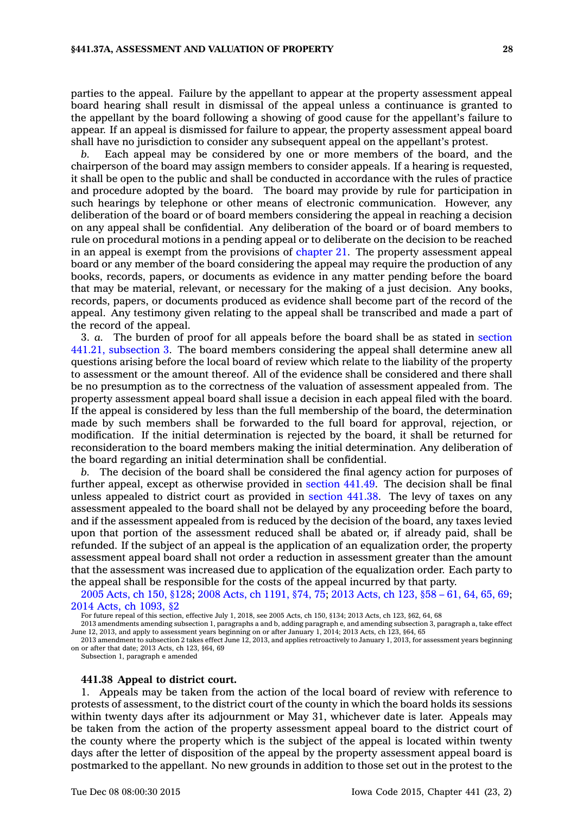parties to the appeal. Failure by the appellant to appear at the property assessment appeal board hearing shall result in dismissal of the appeal unless <sup>a</sup> continuance is granted to the appellant by the board following <sup>a</sup> showing of good cause for the appellant's failure to appear. If an appeal is dismissed for failure to appear, the property assessment appeal board shall have no jurisdiction to consider any subsequent appeal on the appellant's protest.

*b.* Each appeal may be considered by one or more members of the board, and the chairperson of the board may assign members to consider appeals. If <sup>a</sup> hearing is requested, it shall be open to the public and shall be conducted in accordance with the rules of practice and procedure adopted by the board. The board may provide by rule for participation in such hearings by telephone or other means of electronic communication. However, any deliberation of the board or of board members considering the appeal in reaching <sup>a</sup> decision on any appeal shall be confidential. Any deliberation of the board or of board members to rule on procedural motions in <sup>a</sup> pending appeal or to deliberate on the decision to be reached in an appeal is exempt from the provisions of [chapter](https://www.legis.iowa.gov/docs/code//21.pdf) 21. The property assessment appeal board or any member of the board considering the appeal may require the production of any books, records, papers, or documents as evidence in any matter pending before the board that may be material, relevant, or necessary for the making of <sup>a</sup> just decision. Any books, records, papers, or documents produced as evidence shall become part of the record of the appeal. Any testimony given relating to the appeal shall be transcribed and made <sup>a</sup> part of the record of the appeal.

3. *a.* The burden of proof for all appeals before the board shall be as stated in [section](https://www.legis.iowa.gov/docs/code//441.21.pdf) 441.21, [subsection](https://www.legis.iowa.gov/docs/code//441.21.pdf) 3. The board members considering the appeal shall determine anew all questions arising before the local board of review which relate to the liability of the property to assessment or the amount thereof. All of the evidence shall be considered and there shall be no presumption as to the correctness of the valuation of assessment appealed from. The property assessment appeal board shall issue <sup>a</sup> decision in each appeal filed with the board. If the appeal is considered by less than the full membership of the board, the determination made by such members shall be forwarded to the full board for approval, rejection, or modification. If the initial determination is rejected by the board, it shall be returned for reconsideration to the board members making the initial determination. Any deliberation of the board regarding an initial determination shall be confidential.

*b.* The decision of the board shall be considered the final agency action for purposes of further appeal, except as otherwise provided in [section](https://www.legis.iowa.gov/docs/code//441.49.pdf) 441.49. The decision shall be final unless appealed to district court as provided in [section](https://www.legis.iowa.gov/docs/code//441.38.pdf) 441.38. The levy of taxes on any assessment appealed to the board shall not be delayed by any proceeding before the board, and if the assessment appealed from is reduced by the decision of the board, any taxes levied upon that portion of the assessment reduced shall be abated or, if already paid, shall be refunded. If the subject of an appeal is the application of an equalization order, the property assessment appeal board shall not order <sup>a</sup> reduction in assessment greater than the amount that the assessment was increased due to application of the equalization order. Each party to the appeal shall be responsible for the costs of the appeal incurred by that party.

2005 [Acts,](https://www.legis.iowa.gov/docs/acts/2005/CH0150.pdf) ch 150, §128; 2008 Acts, ch [1191,](https://www.legis.iowa.gov/docs/acts/2008/CH1191.pdf) §74, 75; 2013 [Acts,](https://www.legis.iowa.gov/docs/acts/2013/CH0123.pdf) ch 123, §58 – 61, 64, 65, 69; 2014 Acts, ch [1093,](https://www.legis.iowa.gov/docs/acts/2014/CH1093.pdf) §2

For future repeal of this section, effective July 1, 2018, see 2005 Acts, ch 150, §134; 2013 Acts, ch 123, §62, 64, 68

2013 amendments amending subsection 1, paragraphs <sup>a</sup> and b, adding paragraph e, and amending subsection 3, paragraph a, take effect June 12, 2013, and apply to assessment years beginning on or after January 1, 2014; 2013 Acts, ch 123, §64, 65

2013 amendment to subsection 2 takes effect June 12, 2013, and applies retroactively to January 1, 2013, for assessment years beginning on or after that date; 2013 Acts, ch 123, §64, 69

Subsection 1, paragraph <sup>e</sup> amended

#### **441.38 Appeal to district court.**

1. Appeals may be taken from the action of the local board of review with reference to protests of assessment, to the district court of the county in which the board holds its sessions within twenty days after its adjournment or May 31, whichever date is later. Appeals may be taken from the action of the property assessment appeal board to the district court of the county where the property which is the subject of the appeal is located within twenty days after the letter of disposition of the appeal by the property assessment appeal board is postmarked to the appellant. No new grounds in addition to those set out in the protest to the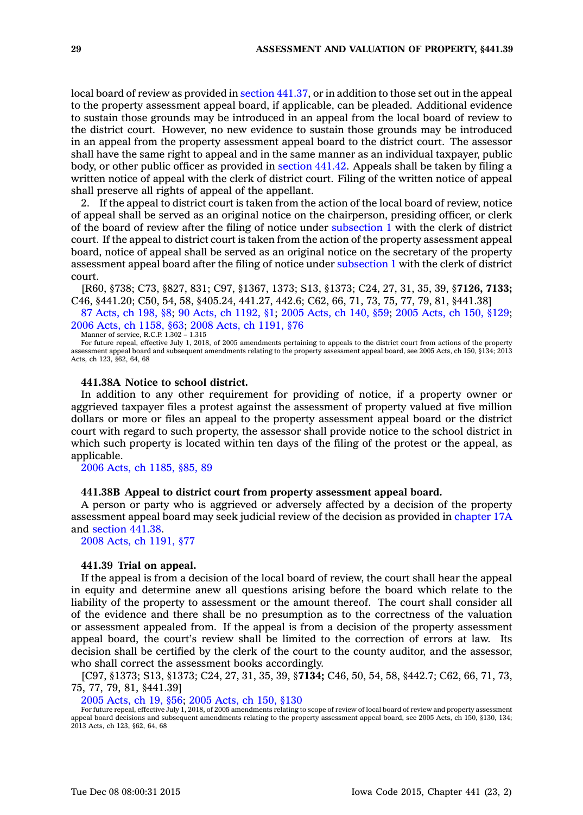local board of review as provided in section [441.37](https://www.legis.iowa.gov/docs/code//441.37.pdf), or in addition to those set out in the appeal to the property assessment appeal board, if applicable, can be pleaded. Additional evidence to sustain those grounds may be introduced in an appeal from the local board of review to the district court. However, no new evidence to sustain those grounds may be introduced in an appeal from the property assessment appeal board to the district court. The assessor shall have the same right to appeal and in the same manner as an individual taxpayer, public body, or other public officer as provided in [section](https://www.legis.iowa.gov/docs/code//441.42.pdf) 441.42. Appeals shall be taken by filing <sup>a</sup> written notice of appeal with the clerk of district court. Filing of the written notice of appeal shall preserve all rights of appeal of the appellant.

2. If the appeal to district court is taken from the action of the local board of review, notice of appeal shall be served as an original notice on the chairperson, presiding officer, or clerk of the board of review after the filing of notice under [subsection](https://www.legis.iowa.gov/docs/code//441.38.pdf) 1 with the clerk of district court. If the appeal to district court is taken from the action of the property assessment appeal board, notice of appeal shall be served as an original notice on the secretary of the property assessment appeal board after the filing of notice under [subsection](https://www.legis.iowa.gov/docs/code//441.38.pdf) 1 with the clerk of district court.

[R60, §738; C73, §827, 831; C97, §1367, 1373; S13, §1373; C24, 27, 31, 35, 39, §**7126, 7133;** C46, §441.20; C50, 54, 58, §405.24, 441.27, 442.6; C62, 66, 71, 73, 75, 77, 79, 81, §441.38]

87 [Acts,](https://www.legis.iowa.gov/docs/acts/1987/CH0198.pdf) ch 198, §8; 90 Acts, ch [1192,](https://www.legis.iowa.gov/docs/acts/1990/CH1192.pdf) §1; 2005 [Acts,](https://www.legis.iowa.gov/docs/acts/2005/CH0140.pdf) ch 140, §59; 2005 [Acts,](https://www.legis.iowa.gov/docs/acts/2005/CH0150.pdf) ch 150, §129; 2006 Acts, ch [1158,](https://www.legis.iowa.gov/docs/acts/2006/CH1158.pdf) §63; 2008 Acts, ch [1191,](https://www.legis.iowa.gov/docs/acts/2008/CH1191.pdf) §76 Manner of service, R.C.P. 1.302 – 1.315

For future repeal, effective July 1, 2018, of 2005 amendments pertaining to appeals to the district court from actions of the property assessment appeal board and subsequent amendments relating to the property assessment appeal board, see 2005 Acts, ch 150, §134; 2013 Acts, ch 123, §62, 64, 68

#### **441.38A Notice to school district.**

In addition to any other requirement for providing of notice, if <sup>a</sup> property owner or aggrieved taxpayer files <sup>a</sup> protest against the assessment of property valued at five million dollars or more or files an appeal to the property assessment appeal board or the district court with regard to such property, the assessor shall provide notice to the school district in which such property is located within ten days of the filing of the protest or the appeal, as applicable.

2006 Acts, ch [1185,](https://www.legis.iowa.gov/docs/acts/2006/CH1185.pdf) §85, 89

## **441.38B Appeal to district court from property assessment appeal board.**

A person or party who is aggrieved or adversely affected by <sup>a</sup> decision of the property assessment appeal board may seek judicial review of the decision as provided in [chapter](https://www.legis.iowa.gov/docs/code//17A.pdf) 17A and [section](https://www.legis.iowa.gov/docs/code//441.38.pdf) 441.38.

2008 Acts, ch [1191,](https://www.legis.iowa.gov/docs/acts/2008/CH1191.pdf) §77

#### **441.39 Trial on appeal.**

If the appeal is from <sup>a</sup> decision of the local board of review, the court shall hear the appeal in equity and determine anew all questions arising before the board which relate to the liability of the property to assessment or the amount thereof. The court shall consider all of the evidence and there shall be no presumption as to the correctness of the valuation or assessment appealed from. If the appeal is from <sup>a</sup> decision of the property assessment appeal board, the court's review shall be limited to the correction of errors at law. Its decision shall be certified by the clerk of the court to the county auditor, and the assessor, who shall correct the assessment books accordingly.

[C97, §1373; S13, §1373; C24, 27, 31, 35, 39, §**7134;** C46, 50, 54, 58, §442.7; C62, 66, 71, 73, 75, 77, 79, 81, §441.39]

2005 [Acts,](https://www.legis.iowa.gov/docs/acts/2005/CH0019.pdf) ch 19, §56; 2005 [Acts,](https://www.legis.iowa.gov/docs/acts/2005/CH0150.pdf) ch 150, §130

For future repeal, effective July 1, 2018, of 2005 amendments relating to scope of review of local board of review and property assessment appeal board decisions and subsequent amendments relating to the property assessment appeal board, see 2005 Acts, ch 150, §130, 134; 2013 Acts, ch 123, §62, 64, 68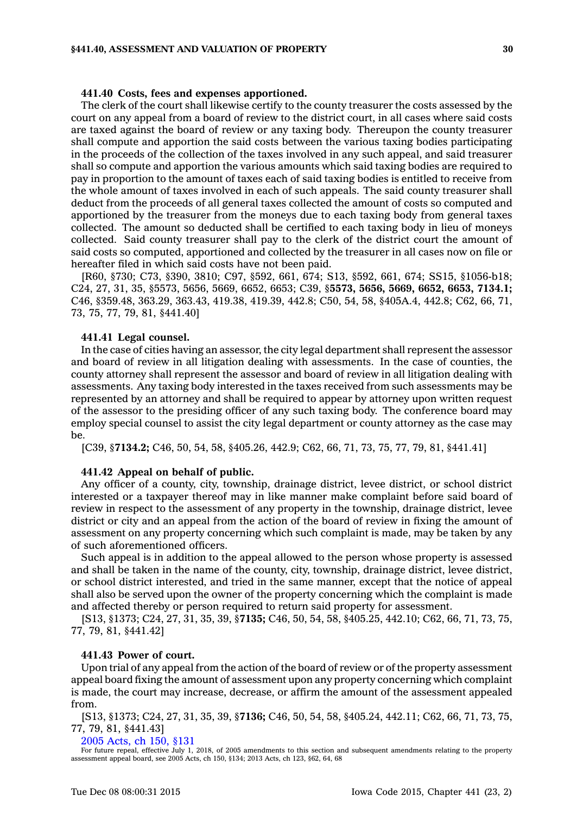#### **441.40 Costs, fees and expenses apportioned.**

The clerk of the court shall likewise certify to the county treasurer the costs assessed by the court on any appeal from <sup>a</sup> board of review to the district court, in all cases where said costs are taxed against the board of review or any taxing body. Thereupon the county treasurer shall compute and apportion the said costs between the various taxing bodies participating in the proceeds of the collection of the taxes involved in any such appeal, and said treasurer shall so compute and apportion the various amounts which said taxing bodies are required to pay in proportion to the amount of taxes each of said taxing bodies is entitled to receive from the whole amount of taxes involved in each of such appeals. The said county treasurer shall deduct from the proceeds of all general taxes collected the amount of costs so computed and apportioned by the treasurer from the moneys due to each taxing body from general taxes collected. The amount so deducted shall be certified to each taxing body in lieu of moneys collected. Said county treasurer shall pay to the clerk of the district court the amount of said costs so computed, apportioned and collected by the treasurer in all cases now on file or hereafter filed in which said costs have not been paid.

[R60, §730; C73, §390, 3810; C97, §592, 661, 674; S13, §592, 661, 674; SS15, §1056-b18; C24, 27, 31, 35, §5573, 5656, 5669, 6652, 6653; C39, §**5573, 5656, 5669, 6652, 6653, 7134.1;** C46, §359.48, 363.29, 363.43, 419.38, 419.39, 442.8; C50, 54, 58, §405A.4, 442.8; C62, 66, 71, 73, 75, 77, 79, 81, §441.40]

## **441.41 Legal counsel.**

In the case of cities having an assessor, the city legal department shall represent the assessor and board of review in all litigation dealing with assessments. In the case of counties, the county attorney shall represent the assessor and board of review in all litigation dealing with assessments. Any taxing body interested in the taxes received from such assessments may be represented by an attorney and shall be required to appear by attorney upon written request of the assessor to the presiding officer of any such taxing body. The conference board may employ special counsel to assist the city legal department or county attorney as the case may  $h$  $\theta$ .

[C39, §**7134.2;** C46, 50, 54, 58, §405.26, 442.9; C62, 66, 71, 73, 75, 77, 79, 81, §441.41]

#### **441.42 Appeal on behalf of public.**

Any officer of <sup>a</sup> county, city, township, drainage district, levee district, or school district interested or <sup>a</sup> taxpayer thereof may in like manner make complaint before said board of review in respect to the assessment of any property in the township, drainage district, levee district or city and an appeal from the action of the board of review in fixing the amount of assessment on any property concerning which such complaint is made, may be taken by any of such aforementioned officers.

Such appeal is in addition to the appeal allowed to the person whose property is assessed and shall be taken in the name of the county, city, township, drainage district, levee district, or school district interested, and tried in the same manner, except that the notice of appeal shall also be served upon the owner of the property concerning which the complaint is made and affected thereby or person required to return said property for assessment.

[S13, §1373; C24, 27, 31, 35, 39, §**7135;** C46, 50, 54, 58, §405.25, 442.10; C62, 66, 71, 73, 75, 77, 79, 81, §441.42]

## **441.43 Power of court.**

Upon trial of any appeal from the action of the board of review or of the property assessment appeal board fixing the amount of assessment upon any property concerning which complaint is made, the court may increase, decrease, or affirm the amount of the assessment appealed from.

[S13, §1373; C24, 27, 31, 35, 39, §**7136;** C46, 50, 54, 58, §405.24, 442.11; C62, 66, 71, 73, 75, 77, 79, 81, §441.43]

2005 [Acts,](https://www.legis.iowa.gov/docs/acts/2005/CH0150.pdf) ch 150, §131

For future repeal, effective July 1, 2018, of 2005 amendments to this section and subsequent amendments relating to the property assessment appeal board, see 2005 Acts, ch 150, §134; 2013 Acts, ch 123, §62, 64, 68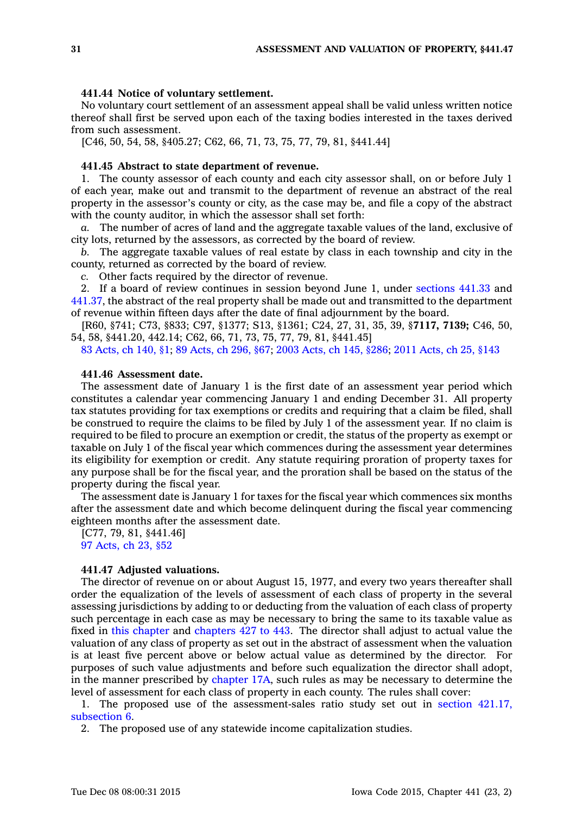#### **441.44 Notice of voluntary settlement.**

No voluntary court settlement of an assessment appeal shall be valid unless written notice thereof shall first be served upon each of the taxing bodies interested in the taxes derived from such assessment.

[C46, 50, 54, 58, §405.27; C62, 66, 71, 73, 75, 77, 79, 81, §441.44]

## **441.45 Abstract to state department of revenue.**

1. The county assessor of each county and each city assessor shall, on or before July 1 of each year, make out and transmit to the department of revenue an abstract of the real property in the assessor's county or city, as the case may be, and file <sup>a</sup> copy of the abstract with the county auditor, in which the assessor shall set forth:

*a.* The number of acres of land and the aggregate taxable values of the land, exclusive of city lots, returned by the assessors, as corrected by the board of review.

*b.* The aggregate taxable values of real estate by class in each township and city in the county, returned as corrected by the board of review.

*c.* Other facts required by the director of revenue.

2. If <sup>a</sup> board of review continues in session beyond June 1, under [sections](https://www.legis.iowa.gov/docs/code//441.33.pdf) 441.33 and [441.37](https://www.legis.iowa.gov/docs/code//441.37.pdf), the abstract of the real property shall be made out and transmitted to the department of revenue within fifteen days after the date of final adjournment by the board.

[R60, §741; C73, §833; C97, §1377; S13, §1361; C24, 27, 31, 35, 39, §**7117, 7139;** C46, 50, 54, 58, §441.20, 442.14; C62, 66, 71, 73, 75, 77, 79, 81, §441.45]

83 [Acts,](https://www.legis.iowa.gov/docs/acts/83/CH0140.pdf) ch 140, §1; 89 [Acts,](https://www.legis.iowa.gov/docs/acts/89/CH0296.pdf) ch 296, §67; 2003 [Acts,](https://www.legis.iowa.gov/docs/acts/2003/CH0145.pdf) ch 145, §286; 2011 [Acts,](https://www.legis.iowa.gov/docs/acts/2011/CH0025.pdf) ch 25, §143

## **441.46 Assessment date.**

The assessment date of January 1 is the first date of an assessment year period which constitutes <sup>a</sup> calendar year commencing January 1 and ending December 31. All property tax statutes providing for tax exemptions or credits and requiring that <sup>a</sup> claim be filed, shall be construed to require the claims to be filed by July 1 of the assessment year. If no claim is required to be filed to procure an exemption or credit, the status of the property as exempt or taxable on July 1 of the fiscal year which commences during the assessment year determines its eligibility for exemption or credit. Any statute requiring proration of property taxes for any purpose shall be for the fiscal year, and the proration shall be based on the status of the property during the fiscal year.

The assessment date is January 1 for taxes for the fiscal year which commences six months after the assessment date and which become delinquent during the fiscal year commencing eighteen months after the assessment date.

[C77, 79, 81, §441.46] 97 [Acts,](https://www.legis.iowa.gov/docs/acts/1997/CH0023.pdf) ch 23, §52

#### **441.47 Adjusted valuations.**

The director of revenue on or about August 15, 1977, and every two years thereafter shall order the equalization of the levels of assessment of each class of property in the several assessing jurisdictions by adding to or deducting from the valuation of each class of property such percentage in each case as may be necessary to bring the same to its taxable value as fixed in this [chapter](https://www.legis.iowa.gov/docs/code//441.pdf) and [chapters](https://www.legis.iowa.gov/docs/code//427.pdf) 427 to 443. The director shall adjust to actual value the valuation of any class of property as set out in the abstract of assessment when the valuation is at least five percent above or below actual value as determined by the director. For purposes of such value adjustments and before such equalization the director shall adopt, in the manner prescribed by [chapter](https://www.legis.iowa.gov/docs/code//17A.pdf) 17A, such rules as may be necessary to determine the level of assessment for each class of property in each county. The rules shall cover:

1. The proposed use of the assessment-sales ratio study set out in section [421.17,](https://www.legis.iowa.gov/docs/code//421.17.pdf) [subsection](https://www.legis.iowa.gov/docs/code//421.17.pdf) 6.

2. The proposed use of any statewide income capitalization studies.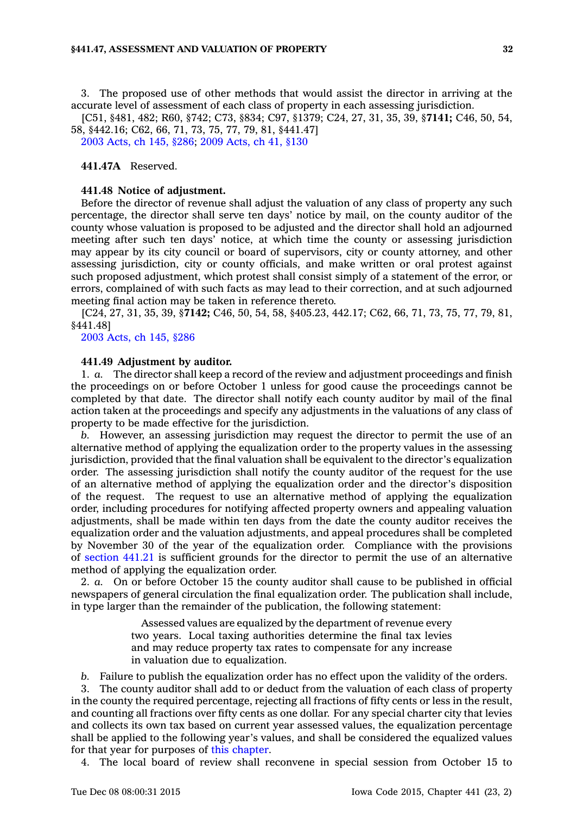#### **§441.47, ASSESSMENT AND VALUATION OF PROPERTY 32**

3. The proposed use of other methods that would assist the director in arriving at the accurate level of assessment of each class of property in each assessing jurisdiction.

[C51, §481, 482; R60, §742; C73, §834; C97, §1379; C24, 27, 31, 35, 39, §**7141;** C46, 50, 54, 58, §442.16; C62, 66, 71, 73, 75, 77, 79, 81, §441.47]

2003 [Acts,](https://www.legis.iowa.gov/docs/acts/2003/CH0145.pdf) ch 145, §286; 2009 [Acts,](https://www.legis.iowa.gov/docs/acts/2009/CH0041.pdf) ch 41, §130

**441.47A** Reserved.

## **441.48 Notice of adjustment.**

Before the director of revenue shall adjust the valuation of any class of property any such percentage, the director shall serve ten days' notice by mail, on the county auditor of the county whose valuation is proposed to be adjusted and the director shall hold an adjourned meeting after such ten days' notice, at which time the county or assessing jurisdiction may appear by its city council or board of supervisors, city or county attorney, and other assessing jurisdiction, city or county officials, and make written or oral protest against such proposed adjustment, which protest shall consist simply of <sup>a</sup> statement of the error, or errors, complained of with such facts as may lead to their correction, and at such adjourned meeting final action may be taken in reference thereto.

[C24, 27, 31, 35, 39, §**7142;** C46, 50, 54, 58, §405.23, 442.17; C62, 66, 71, 73, 75, 77, 79, 81, §441.48]

2003 [Acts,](https://www.legis.iowa.gov/docs/acts/2003/CH0145.pdf) ch 145, §286

### **441.49 Adjustment by auditor.**

1. *a.* The director shall keep <sup>a</sup> record of the review and adjustment proceedings and finish the proceedings on or before October 1 unless for good cause the proceedings cannot be completed by that date. The director shall notify each county auditor by mail of the final action taken at the proceedings and specify any adjustments in the valuations of any class of property to be made effective for the jurisdiction.

*b.* However, an assessing jurisdiction may request the director to permit the use of an alternative method of applying the equalization order to the property values in the assessing jurisdiction, provided that the final valuation shall be equivalent to the director's equalization order. The assessing jurisdiction shall notify the county auditor of the request for the use of an alternative method of applying the equalization order and the director's disposition of the request. The request to use an alternative method of applying the equalization order, including procedures for notifying affected property owners and appealing valuation adjustments, shall be made within ten days from the date the county auditor receives the equalization order and the valuation adjustments, and appeal procedures shall be completed by November 30 of the year of the equalization order. Compliance with the provisions of [section](https://www.legis.iowa.gov/docs/code//441.21.pdf) 441.21 is sufficient grounds for the director to permit the use of an alternative method of applying the equalization order.

2. *a.* On or before October 15 the county auditor shall cause to be published in official newspapers of general circulation the final equalization order. The publication shall include, in type larger than the remainder of the publication, the following statement:

> Assessed values are equalized by the department of revenue every two years. Local taxing authorities determine the final tax levies and may reduce property tax rates to compensate for any increase in valuation due to equalization.

*b.* Failure to publish the equalization order has no effect upon the validity of the orders.

3. The county auditor shall add to or deduct from the valuation of each class of property in the county the required percentage, rejecting all fractions of fifty cents or less in the result, and counting all fractions over fifty cents as one dollar. For any special charter city that levies and collects its own tax based on current year assessed values, the equalization percentage shall be applied to the following year's values, and shall be considered the equalized values for that year for purposes of this [chapter](https://www.legis.iowa.gov/docs/code//441.pdf).

4. The local board of review shall reconvene in special session from October 15 to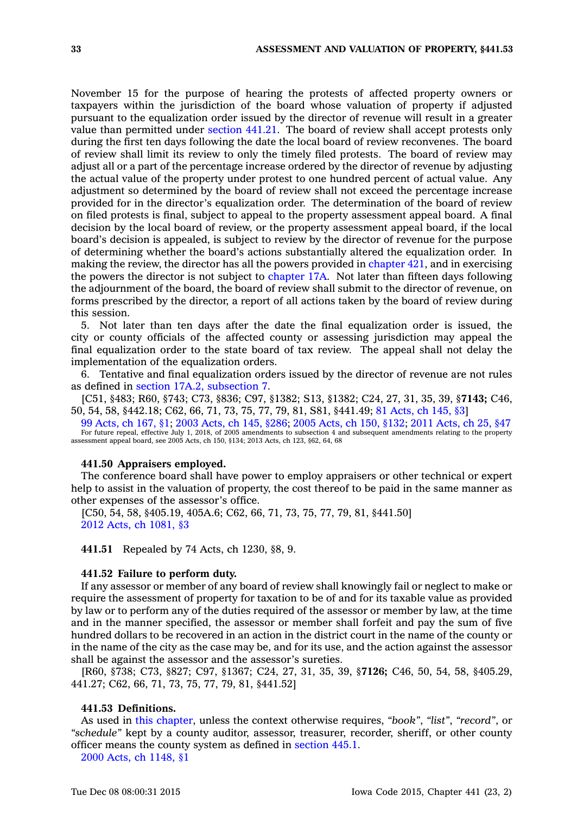November 15 for the purpose of hearing the protests of affected property owners or taxpayers within the jurisdiction of the board whose valuation of property if adjusted pursuant to the equalization order issued by the director of revenue will result in <sup>a</sup> greater value than permitted under [section](https://www.legis.iowa.gov/docs/code//441.21.pdf) 441.21. The board of review shall accept protests only during the first ten days following the date the local board of review reconvenes. The board of review shall limit its review to only the timely filed protests. The board of review may adjust all or <sup>a</sup> part of the percentage increase ordered by the director of revenue by adjusting the actual value of the property under protest to one hundred percent of actual value. Any adjustment so determined by the board of review shall not exceed the percentage increase provided for in the director's equalization order. The determination of the board of review on filed protests is final, subject to appeal to the property assessment appeal board. A final decision by the local board of review, or the property assessment appeal board, if the local board's decision is appealed, is subject to review by the director of revenue for the purpose of determining whether the board's actions substantially altered the equalization order. In making the review, the director has all the powers provided in [chapter](https://www.legis.iowa.gov/docs/code//421.pdf) 421, and in exercising the powers the director is not subject to [chapter](https://www.legis.iowa.gov/docs/code//17A.pdf) 17A. Not later than fifteen days following the adjournment of the board, the board of review shall submit to the director of revenue, on forms prescribed by the director, <sup>a</sup> report of all actions taken by the board of review during this session.

5. Not later than ten days after the date the final equalization order is issued, the city or county officials of the affected county or assessing jurisdiction may appeal the final equalization order to the state board of tax review. The appeal shall not delay the implementation of the equalization orders.

6. Tentative and final equalization orders issued by the director of revenue are not rules as defined in section 17A.2, [subsection](https://www.legis.iowa.gov/docs/code//17A.2.pdf) 7.

[C51, §483; R60, §743; C73, §836; C97, §1382; S13, §1382; C24, 27, 31, 35, 39, §**7143;** C46, 50, 54, 58, §442.18; C62, 66, 71, 73, 75, 77, 79, 81, S81, §441.49; 81 [Acts,](https://www.legis.iowa.gov/docs/acts/1981/CH0145.pdf) ch 145, §3]

99 [Acts,](https://www.legis.iowa.gov/docs/acts/99/CH0167.pdf) ch 167, §1; 2003 [Acts,](https://www.legis.iowa.gov/docs/acts/2003/CH0145.pdf) ch 145, §286; 2005 [Acts,](https://www.legis.iowa.gov/docs/acts/2005/CH0150.pdf) ch 150, §132; 2011 [Acts,](https://www.legis.iowa.gov/docs/acts/2011/CH0025.pdf) ch 25, §47 For future repeal, effective July 1, 2018, of 2005 amendments to subsection 4 and subsequent amendments relating to the property assessment appeal board, see 2005 Acts, ch 150, §134; 2013 Acts, ch 123, §62, 64, 68

#### **441.50 Appraisers employed.**

The conference board shall have power to employ appraisers or other technical or expert help to assist in the valuation of property, the cost thereof to be paid in the same manner as other expenses of the assessor's office.

[C50, 54, 58, §405.19, 405A.6; C62, 66, 71, 73, 75, 77, 79, 81, §441.50] 2012 Acts, ch [1081,](https://www.legis.iowa.gov/docs/acts/2012/CH1081.pdf) §3

**441.51** Repealed by 74 Acts, ch 1230, §8, 9.

#### **441.52 Failure to perform duty.**

If any assessor or member of any board of review shall knowingly fail or neglect to make or require the assessment of property for taxation to be of and for its taxable value as provided by law or to perform any of the duties required of the assessor or member by law, at the time and in the manner specified, the assessor or member shall forfeit and pay the sum of five hundred dollars to be recovered in an action in the district court in the name of the county or in the name of the city as the case may be, and for its use, and the action against the assessor shall be against the assessor and the assessor's sureties.

[R60, §738; C73, §827; C97, §1367; C24, 27, 31, 35, 39, §**7126;** C46, 50, 54, 58, §405.29, 441.27; C62, 66, 71, 73, 75, 77, 79, 81, §441.52]

#### **441.53 Definitions.**

As used in this [chapter](https://www.legis.iowa.gov/docs/code//441.pdf), unless the context otherwise requires, *"book"*, *"list"*, *"record"*, or *"schedule"* kept by <sup>a</sup> county auditor, assessor, treasurer, recorder, sheriff, or other county officer means the county system as defined in [section](https://www.legis.iowa.gov/docs/code//445.1.pdf) 445.1.

2000 Acts, ch [1148,](https://www.legis.iowa.gov/docs/acts/2000/CH1148.pdf) §1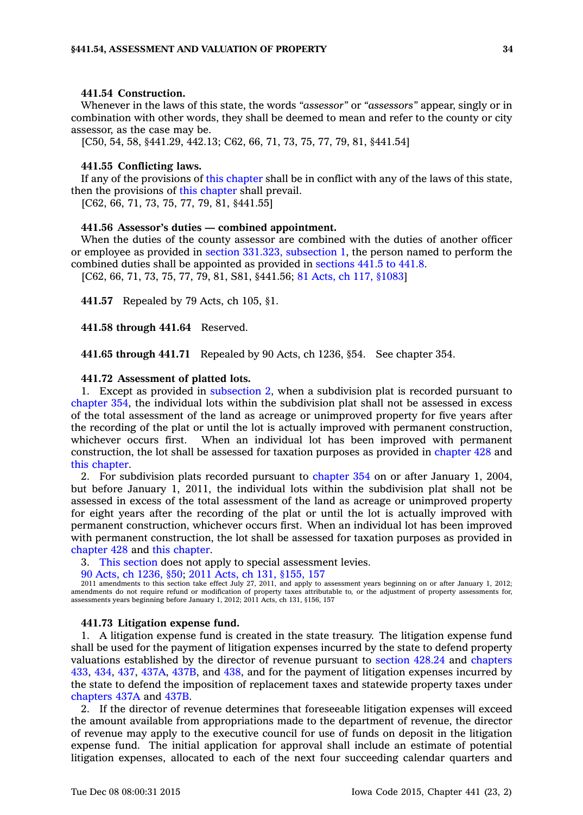## **441.54 Construction.**

Whenever in the laws of this state, the words *"assessor"* or *"assessors"* appear, singly or in combination with other words, they shall be deemed to mean and refer to the county or city assessor, as the case may be.

[C50, 54, 58, §441.29, 442.13; C62, 66, 71, 73, 75, 77, 79, 81, §441.54]

#### **441.55 Conflicting laws.**

If any of the provisions of this [chapter](https://www.legis.iowa.gov/docs/code//441.pdf) shall be in conflict with any of the laws of this state, then the provisions of this [chapter](https://www.legis.iowa.gov/docs/code//441.pdf) shall prevail.

[C62, 66, 71, 73, 75, 77, 79, 81, §441.55]

#### **441.56 Assessor's duties — combined appointment.**

When the duties of the county assessor are combined with the duties of another officer or employee as provided in section 331.323, [subsection](https://www.legis.iowa.gov/docs/code//331.323.pdf) 1, the person named to perform the combined duties shall be appointed as provided in [sections](https://www.legis.iowa.gov/docs/code//441.5.pdf) 441.5 to 441.8.

[C62, 66, 71, 73, 75, 77, 79, 81, S81, §441.56; 81 Acts, ch 117, [§1083](https://www.legis.iowa.gov/docs/acts/1981/CH0117.pdf)]

**441.57** Repealed by 79 Acts, ch 105, §1.

**441.58 through 441.64** Reserved.

**441.65 through 441.71** Repealed by 90 Acts, ch 1236, §54. See chapter 354.

## **441.72 Assessment of platted lots.**

1. Except as provided in [subsection](https://www.legis.iowa.gov/docs/code//441.72.pdf) 2, when <sup>a</sup> subdivision plat is recorded pursuant to [chapter](https://www.legis.iowa.gov/docs/code//354.pdf) 354, the individual lots within the subdivision plat shall not be assessed in excess of the total assessment of the land as acreage or unimproved property for five years after the recording of the plat or until the lot is actually improved with permanent construction, whichever occurs first. When an individual lot has been improved with permanent construction, the lot shall be assessed for taxation purposes as provided in [chapter](https://www.legis.iowa.gov/docs/code//428.pdf) 428 and this [chapter](https://www.legis.iowa.gov/docs/code//441.pdf).

2. For subdivision plats recorded pursuant to [chapter](https://www.legis.iowa.gov/docs/code//354.pdf) 354 on or after January 1, 2004, but before January 1, 2011, the individual lots within the subdivision plat shall not be assessed in excess of the total assessment of the land as acreage or unimproved property for eight years after the recording of the plat or until the lot is actually improved with permanent construction, whichever occurs first. When an individual lot has been improved with permanent construction, the lot shall be assessed for taxation purposes as provided in [chapter](https://www.legis.iowa.gov/docs/code//428.pdf) 428 and this [chapter](https://www.legis.iowa.gov/docs/code//441.pdf).

3. This [section](https://www.legis.iowa.gov/docs/code//441.72.pdf) does not apply to special assessment levies.

90 Acts, ch [1236,](https://www.legis.iowa.gov/docs/acts/90/CH1236.pdf) §50; 2011 Acts, ch 131, [§155,](https://www.legis.iowa.gov/docs/acts/2011/CH0131.pdf) 157

2011 amendments to this section take effect July 27, 2011, and apply to assessment years beginning on or after January 1, 2012; amendments do not require refund or modification of property taxes attributable to, or the adjustment of property assessments for, assessments years beginning before January 1, 2012; 2011 Acts, ch 131, §156, 157

#### **441.73 Litigation expense fund.**

1. A litigation expense fund is created in the state treasury. The litigation expense fund shall be used for the payment of litigation expenses incurred by the state to defend property valuations established by the director of revenue pursuant to [section](https://www.legis.iowa.gov/docs/code//428.24.pdf) 428.24 and [chapters](https://www.legis.iowa.gov/docs/code//433.pdf) [433](https://www.legis.iowa.gov/docs/code//433.pdf), [434](https://www.legis.iowa.gov/docs/code//434.pdf), [437](https://www.legis.iowa.gov/docs/code//437.pdf), [437A](https://www.legis.iowa.gov/docs/code//437A.pdf), [437B](https://www.legis.iowa.gov/docs/code//437B.pdf), and [438](https://www.legis.iowa.gov/docs/code//438.pdf), and for the payment of litigation expenses incurred by the state to defend the imposition of replacement taxes and statewide property taxes under [chapters](https://www.legis.iowa.gov/docs/code//437A.pdf) 437A and [437B](https://www.legis.iowa.gov/docs/code//437B.pdf).

2. If the director of revenue determines that foreseeable litigation expenses will exceed the amount available from appropriations made to the department of revenue, the director of revenue may apply to the executive council for use of funds on deposit in the litigation expense fund. The initial application for approval shall include an estimate of potential litigation expenses, allocated to each of the next four succeeding calendar quarters and